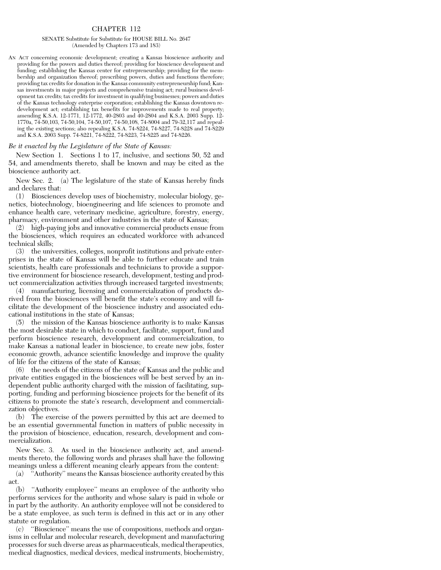## CHAPTER 112

## SENATE Substitute for Substitute for HOUSE BILL No. 2647 (Amended by Chapters 173 and 183)

AN ACT concerning economic development; creating a Kansas bioscience authority and providing for the powers and duties thereof; providing for bioscience development and funding; establishing the Kansas center for entrepreneurship; providing for the membership and organization thereof; prescribing powers, duties and functions therefore; providing tax credits for donation in the Kansas community entrepreneurship fund; Kansas investments in major projects and comprehensive training act; rural business development tax credits; tax credits for investment in qualifying businesses; powers and duties of the Kansas technology enterprise corporation; establishing the Kansas downtown redevelopment act; establishing tax benefits for improvements made to real property; amending K.S.A. 12-1771, 12-1772, 40-2803 and 40-2804 and K.S.A. 2003 Supp. 12-1770a, 74-50,103, 74-50,104, 74-50,107, 74-50,108, 74-8004 and 79-32,117 and repealing the existing sections; also repealing K.S.A. 74-8224, 74-8227, 74-8228 and 74-8229 and K.S.A. 2003 Supp. 74-8221, 74-8222, 74-8223, 74-8225 and 74-8226.

## *Be it enacted by the Legislature of the State of Kansas:*

New Section 1. Sections 1 to 17, inclusive, and sections 50, 52 and 54, and amendments thereto, shall be known and may be cited as the bioscience authority act.

New Sec. 2. (a) The legislature of the state of Kansas hereby finds and declares that:

(1) Biosciences develop uses of biochemistry, molecular biology, genetics, biotechnology, bioengineering and life sciences to promote and enhance health care, veterinary medicine, agriculture, forestry, energy, pharmacy, environment and other industries in the state of Kansas;

(2) high-paying jobs and innovative commercial products ensue from the biosciences, which requires an educated workforce with advanced technical skills;

(3) the universities, colleges, nonprofit institutions and private enterprises in the state of Kansas will be able to further educate and train scientists, health care professionals and technicians to provide a supportive environment for bioscience research, development, testing and product commercialization activities through increased targeted investments;

(4) manufacturing, licensing and commercialization of products derived from the biosciences will benefit the state's economy and will facilitate the development of the bioscience industry and associated educational institutions in the state of Kansas;

(5) the mission of the Kansas bioscience authority is to make Kansas the most desirable state in which to conduct, facilitate, support, fund and perform bioscience research, development and commercialization, to make Kansas a national leader in bioscience, to create new jobs, foster economic growth, advance scientific knowledge and improve the quality of life for the citizens of the state of Kansas;

(6) the needs of the citizens of the state of Kansas and the public and private entities engaged in the biosciences will be best served by an independent public authority charged with the mission of facilitating, supporting, funding and performing bioscience projects for the benefit of its citizens to promote the state's research, development and commercialization objectives.

(b) The exercise of the powers permitted by this act are deemed to be an essential governmental function in matters of public necessity in the provision of bioscience, education, research, development and commercialization.

New Sec. 3. As used in the bioscience authority act, and amendments thereto, the following words and phrases shall have the following meanings unless a different meaning clearly appears from the content:

(a) ''Authority'' means the Kansas bioscience authority created by this act.

(b) ''Authority employee'' means an employee of the authority who performs services for the authority and whose salary is paid in whole or in part by the authority. An authority employee will not be considered to be a state employee, as such term is defined in this act or in any other statute or regulation.

(c) ''Bioscience'' means the use of compositions, methods and organisms in cellular and molecular research, development and manufacturing processes for such diverse areas as pharmaceuticals, medical therapeutics, medical diagnostics, medical devices, medical instruments, biochemistry,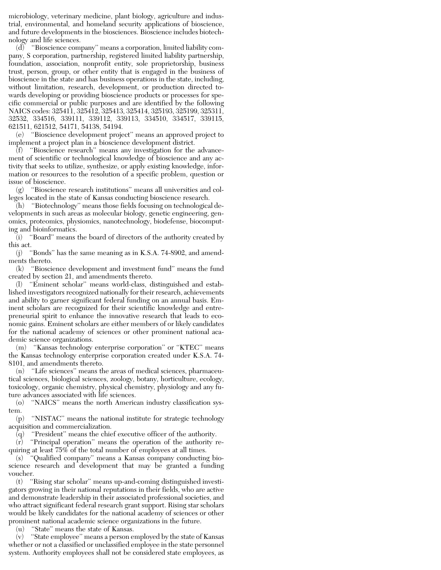microbiology, veterinary medicine, plant biology, agriculture and industrial, environmental, and homeland security applications of bioscience, and future developments in the biosciences. Bioscience includes biotechnology and life sciences.

 $(d)$  "Bioscience company" means a corporation, limited liability company, S corporation, partnership, registered limited liability partnership, foundation, association, nonprofit entity, sole proprietorship, business trust, person, group, or other entity that is engaged in the business of bioscience in the state and has business operations in the state, including, without limitation, research, development, or production directed towards developing or providing bioscience products or processes for specific commercial or public purposes and are identified by the following NAICS codes: 325411, 325412, 325413, 325414, 325193, 325199, 325311, 32532, 334516, 339111, 339112, 339113, 334510, 334517, 339115, 621511, 621512, 54171, 54138, 54194.

(e) ''Bioscience development project'' means an approved project to implement a project plan in a bioscience development district.

(f) ''Bioscience research'' means any investigation for the advancement of scientific or technological knowledge of bioscience and any activity that seeks to utilize, synthesize, or apply existing knowledge, information or resources to the resolution of a specific problem, question or issue of bioscience.

(g) ''Bioscience research institutions'' means all universities and colleges located in the state of Kansas conducting bioscience research.

(h) ''Biotechnology'' means those fields focusing on technological developments in such areas as molecular biology, genetic engineering, genomics, proteomics, physiomics, nanotechnology, biodefense, biocomputing and bioinformatics.

(i) ''Board'' means the board of directors of the authority created by this act.

(j) ''Bonds'' has the same meaning as in K.S.A. 74-8902, and amendments thereto.

(k) ''Bioscience development and investment fund'' means the fund created by section 21, and amendments thereto.

(l) ''Eminent scholar'' means world-class, distinguished and established investigators recognized nationally for their research, achievements and ability to garner significant federal funding on an annual basis. Eminent scholars are recognized for their scientific knowledge and entrepreneurial spirit to enhance the innovative research that leads to economic gains. Eminent scholars are either members of or likely candidates for the national academy of sciences or other prominent national academic science organizations.

(m) ''Kansas technology enterprise corporation'' or ''KTEC'' means the Kansas technology enterprise corporation created under K.S.A. 74- 8101, and amendments thereto.

(n) ''Life sciences'' means the areas of medical sciences, pharmaceutical sciences, biological sciences, zoology, botany, horticulture, ecology, toxicology, organic chemistry, physical chemistry, physiology and any future advances associated with life sciences.

(o) ''NAICS'' means the north American industry classification system.

(p) ''NISTAC'' means the national institute for strategic technology acquisition and commercialization.

 $\bar{q}$  "President" means the chief executive officer of the authority.

(r) ''Principal operation'' means the operation of the authority requiring at least 75% of the total number of employees at all times.

(s) ''Qualified company'' means a Kansas company conducting bioscience research and development that may be granted a funding voucher.

(t) ''Rising star scholar'' means up-and-coming distinguished investigators growing in their national reputations in their fields, who are active and demonstrate leadership in their associated professional societies, and who attract significant federal research grant support. Rising star scholars would be likely candidates for the national academy of sciences or other prominent national academic science organizations in the future.

(u) ''State'' means the state of Kansas.

(v) ''State employee'' means a person employed by the state of Kansas whether or not a classified or unclassified employee in the state personnel system. Authority employees shall not be considered state employees, as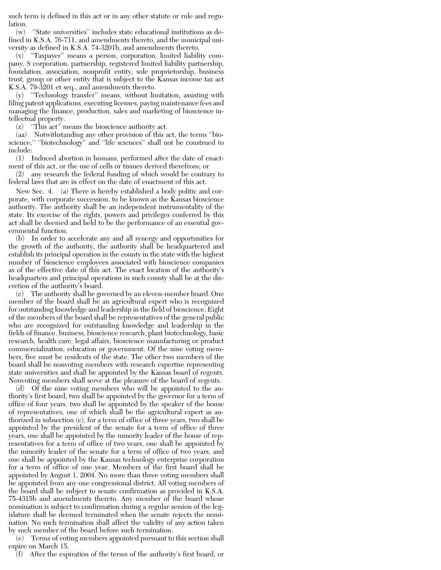such term is defined in this act or in any other statute or rule and regulation.

(w) ''State universities'' includes state educational institutions as defined in K.S.A. 76-711, and amendments thereto, and the municipal university as defined in K.S.A. 74-3201b, and amendments thereto.

(x) ''Taxpayer'' means a person, corporation, limited liability company, S corporation, partnership, registered limited liability partnership, foundation, association, nonprofit entity, sole proprietorship, business trust, group or other entity that is subject to the Kansas income tax act K.S.A. 79-3201 et seq., and amendments thereto.

(y) ''Technology transfer'' means, without limitation, assisting with filing patent applications, executing licenses, paying maintenance fees and managing the finance, production, sales and marketing of bioscience intellectual property.

(z) ''This act'' means the bioscience authority act.

(aa) Notwithstanding any other provision of this act, the terms ''bioscience," "biotechnology" and "life sciences" shall not be construed to include:

(1) Induced abortion in humans, performed after the date of enactment of this act, or the use of cells or tissues derived therefrom; or

(2) any research the federal funding of which would be contrary to federal laws that are in effect on the date of enactment of this act.

New Sec. 4. (a) There is hereby established a body politic and corporate, with corporate succession, to be known as the Kansas bioscience authority. The authority shall be an independent instrumentality of the state. Its exercise of the rights, powers and privileges conferred by this act shall be deemed and held to be the performance of an essential governmental function.

(b) In order to accelerate any and all synergy and opportunities for the growth of the authority, the authority shall be headquartered and establish its principal operation in the county in the state with the highest number of bioscience employees associated with bioscience companies as of the effective date of this act. The exact location of the authority's headquarters and principal operations in such county shall be at the discretion of the authority's board.

(c) The authority shall be governed by an eleven-member board. One member of the board shall be an agricultural expert who is recognized for outstanding knowledge and leadership in the field of bioscience. Eight of the members of the board shall be representatives of the general public who are recognized for outstanding knowledge and leadership in the fields of finance, business, bioscience research, plant biotechnology, basic research, health care, legal affairs, bioscience manufacturing or product commercialization, education or government. Of the nine voting members, five must be residents of the state. The other two members of the board shall be nonvoting members with research expertise representing state universities and shall be appointed by the Kansas board of regents. Nonvoting members shall serve at the pleasure of the board of regents.

(d) Of the nine voting members who will be appointed to the authority's first board, two shall be appointed by the governor for a term of office of four years, two shall be appointed by the speaker of the house of representatives, one of which shall be the agricultural expert as authorized in subsection (c), for a term of office of three years, two shall be appointed by the president of the senate for a term of office of three years, one shall be appointed by the minority leader of the house of representatives for a term of office of two years, one shall be appointed by the minority leader of the senate for a term of office of two years, and one shall be appointed by the Kansas technology enterprise corporation for a term of office of one year. Members of the first board shall be appointed by August 1, 2004. No more than three voting members shall be appointed from any one congressional district. All voting members of the board shall be subject to senate confirmation as provided in K.S.A. 75-4315b and amendments thereto. Any member of the board whose nomination is subject to confirmation during a regular session of the legislature shall be deemed terminated when the senate rejects the nomination. No such termination shall affect the validity of any action taken by such member of the board before such termination.

(e) Terms of voting members appointed pursuant to this section shall expire on March 15.

(f) After the expiration of the terms of the authority's first board, or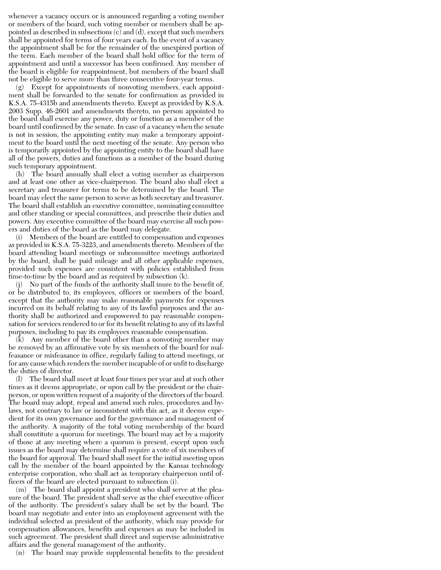whenever a vacancy occurs or is announced regarding a voting member or members of the board, such voting member or members shall be appointed as described in subsections (c) and (d), except that such members shall be appointed for terms of four years each. In the event of a vacancy the appointment shall be for the remainder of the unexpired portion of the term. Each member of the board shall hold office for the term of appointment and until a successor has been confirmed. Any member of the board is eligible for reappointment, but members of the board shall not be eligible to serve more than three consecutive four-year terms.

(g) Except for appointments of nonvoting members, each appointment shall be forwarded to the senate for confirmation as provided in K.S.A. 75-4315b and amendments thereto. Except as provided by K.S.A. 2003 Supp. 46-2601 and amendments thereto, no person appointed to the board shall exercise any power, duty or function as a member of the board until confirmed by the senate. In case of a vacancy when the senate is not in session, the appointing entity may make a temporary appointment to the board until the next meeting of the senate. Any person who is temporarily appointed by the appointing entity to the board shall have all of the powers, duties and functions as a member of the board during such temporary appointment.

(h) The board annually shall elect a voting member as chairperson and at least one other as vice-chairperson. The board also shall elect a secretary and treasurer for terms to be determined by the board. The board may elect the same person to serve as both secretary and treasurer. The board shall establish an executive committee, nominating committee and other standing or special committees, and prescribe their duties and powers. Any executive committee of the board may exercise all such powers and duties of the board as the board may delegate.

(i) Members of the board are entitled to compensation and expenses as provided in K.S.A. 75-3223, and amendments thereto. Members of the board attending board meetings or subcommittee meetings authorized by the board, shall be paid mileage and all other applicable expenses, provided such expenses are consistent with policies established from time-to-time by the board and as required by subsection (k).

(j) No part of the funds of the authority shall inure to the benefit of, or be distributed to, its employees, officers or members of the board, except that the authority may make reasonable payments for expenses incurred on its behalf relating to any of its lawful purposes and the authority shall be authorized and empowered to pay reasonable compensation for services rendered to or for its benefit relating to any of its lawful purposes, including to pay its employees reasonable compensation.

(k) Any member of the board other than a nonvoting member may be removed by an affirmative vote by six members of the board for malfeasance or misfeasance in office, regularly failing to attend meetings, or for any cause which renders the member incapable of or unfit to discharge the duties of director.

(l) The board shall meet at least four times per year and at such other times as it deems appropriate, or upon call by the president or the chairperson, or upon written request of a majority of the directors of the board. The board may adopt, repeal and amend such rules, procedures and bylaws, not contrary to law or inconsistent with this act, as it deems expedient for its own governance and for the governance and management of the authority. A majority of the total voting membership of the board shall constitute a quorum for meetings. The board may act by a majority of those at any meeting where a quorum is present, except upon such issues as the board may determine shall require a vote of six members of the board for approval. The board shall meet for the initial meeting upon call by the member of the board appointed by the Kansas technology enterprise corporation, who shall act as temporary chairperson until officers of the board are elected pursuant to subsection (i).

(m) The board shall appoint a president who shall serve at the pleasure of the board. The president shall serve as the chief executive officer of the authority. The president's salary shall be set by the board. The board may negotiate and enter into an employment agreement with the individual selected as president of the authority, which may provide for compensation allowances, benefits and expenses as may be included in such agreement. The president shall direct and supervise administrative affairs and the general management of the authority.

(n) The board may provide supplemental benefits to the president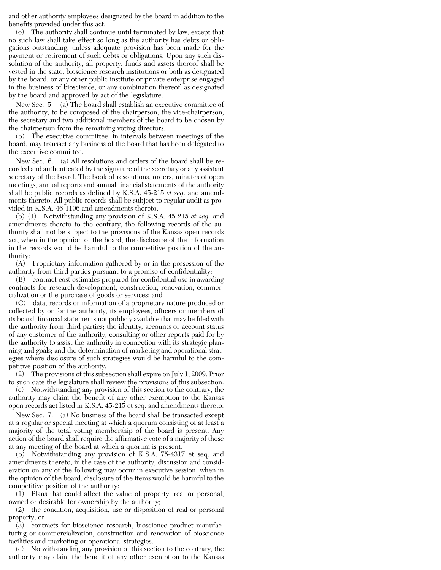and other authority employees designated by the board in addition to the benefits provided under this act.

(o) The authority shall continue until terminated by law, except that no such law shall take effect so long as the authority has debts or obligations outstanding, unless adequate provision has been made for the payment or retirement of such debts or obligations. Upon any such dissolution of the authority, all property, funds and assets thereof shall be vested in the state, bioscience research institutions or both as designated by the board, or any other public institute or private enterprise engaged in the business of bioscience, or any combination thereof, as designated by the board and approved by act of the legislature.

New Sec. 5. (a) The board shall establish an executive committee of the authority, to be composed of the chairperson, the vice-chairperson, the secretary and two additional members of the board to be chosen by the chairperson from the remaining voting directors.

(b) The executive committee, in intervals between meetings of the board, may transact any business of the board that has been delegated to the executive committee.

New Sec. 6. (a) All resolutions and orders of the board shall be recorded and authenticated by the signature of the secretary or any assistant secretary of the board. The book of resolutions, orders, minutes of open meetings, annual reports and annual financial statements of the authority shall be public records as defined by K.S.A. 45-215 *et seq.* and amendments thereto. All public records shall be subject to regular audit as provided in K.S.A. 46-1106 and amendments thereto.

(b) (1) Notwithstanding any provision of K.S.A. 45-215 *et seq.* and amendments thereto to the contrary, the following records of the authority shall not be subject to the provisions of the Kansas open records act, when in the opinion of the board, the disclosure of the information in the records would be harmful to the competitive position of the authority:

(A) Proprietary information gathered by or in the possession of the authority from third parties pursuant to a promise of confidentiality;

(B) contract cost estimates prepared for confidential use in awarding contracts for research development, construction, renovation, commercialization or the purchase of goods or services; and

(C) data, records or information of a proprietary nature produced or collected by or for the authority, its employees, officers or members of its board; financial statements not publicly available that may be filed with the authority from third parties; the identity, accounts or account status of any customer of the authority; consulting or other reports paid for by the authority to assist the authority in connection with its strategic planning and goals; and the determination of marketing and operational strategies where disclosure of such strategies would be harmful to the competitive position of the authority.

(2) The provisions of this subsection shall expire on July 1, 2009. Prior to such date the legislature shall review the provisions of this subsection.

(c) Notwithstanding any provision of this section to the contrary, the authority may claim the benefit of any other exemption to the Kansas open records act listed in K.S.A. 45-215 et seq. and amendments thereto.

New Sec. 7. (a) No business of the board shall be transacted except at a regular or special meeting at which a quorum consisting of at least a majority of the total voting membership of the board is present. Any action of the board shall require the affirmative vote of a majority of those at any meeting of the board at which a quorum is present.

(b) Notwithstanding any provision of K.S.A. 75-4317 et seq. and amendments thereto, in the case of the authority, discussion and consideration on any of the following may occur in executive session, when in the opinion of the board, disclosure of the items would be harmful to the competitive position of the authority:

(1) Plans that could affect the value of property, real or personal, owned or desirable for ownership by the authority;

(2) the condition, acquisition, use or disposition of real or personal property; or

(3) contracts for bioscience research, bioscience product manufacturing or commercialization, construction and renovation of bioscience facilities and marketing or operational strategies.

(c) Notwithstanding any provision of this section to the contrary, the authority may claim the benefit of any other exemption to the Kansas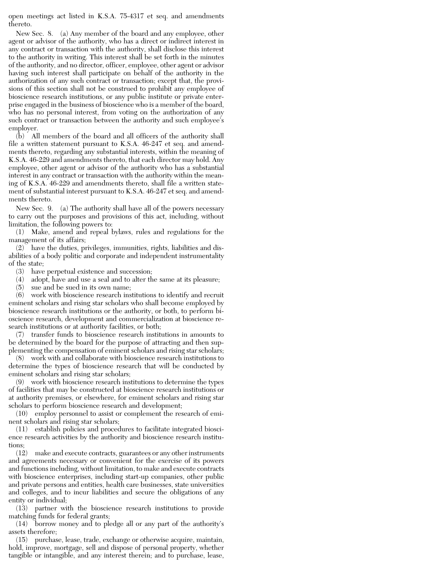open meetings act listed in K.S.A. 75-4317 et seq. and amendments thereto.

New Sec. 8. (a) Any member of the board and any employee, other agent or advisor of the authority, who has a direct or indirect interest in any contract or transaction with the authority, shall disclose this interest to the authority in writing. This interest shall be set forth in the minutes of the authority, and no director, officer, employee, other agent or advisor having such interest shall participate on behalf of the authority in the authorization of any such contract or transaction; except that, the provisions of this section shall not be construed to prohibit any employee of bioscience research institutions, or any public institute or private enterprise engaged in the business of bioscience who is a member of the board, who has no personal interest, from voting on the authorization of any such contract or transaction between the authority and such employee's employer.

(b) All members of the board and all officers of the authority shall file a written statement pursuant to K.S.A. 46-247 et seq. and amendments thereto, regarding any substantial interests, within the meaning of K.S.A. 46-229 and amendments thereto, that each director may hold. Any employee, other agent or advisor of the authority who has a substantial interest in any contract or transaction with the authority within the meaning of K.S.A. 46-229 and amendments thereto, shall file a written statement of substantial interest pursuant to K.S.A. 46-247 et seq. and amendments thereto.

New Sec. 9. (a) The authority shall have all of the powers necessary to carry out the purposes and provisions of this act, including, without limitation, the following powers to:

(1) Make, amend and repeal bylaws, rules and regulations for the management of its affairs;

(2) have the duties, privileges, immunities, rights, liabilities and disabilities of a body politic and corporate and independent instrumentality of the state;

(3) have perpetual existence and succession;

(4) adopt, have and use a seal and to alter the same at its pleasure;

(5) sue and be sued in its own name;

(6) work with bioscience research institutions to identify and recruit eminent scholars and rising star scholars who shall become employed by bioscience research institutions or the authority, or both, to perform bioscience research, development and commercialization at bioscience research institutions or at authority facilities, or both;

(7) transfer funds to bioscience research institutions in amounts to be determined by the board for the purpose of attracting and then supplementing the compensation of eminent scholars and rising star scholars;

(8) work with and collaborate with bioscience research institutions to determine the types of bioscience research that will be conducted by eminent scholars and rising star scholars;

(9) work with bioscience research institutions to determine the types of facilities that may be constructed at bioscience research institutions or at authority premises, or elsewhere, for eminent scholars and rising star scholars to perform bioscience research and development;

(10) employ personnel to assist or complement the research of eminent scholars and rising star scholars;

(11) establish policies and procedures to facilitate integrated bioscience research activities by the authority and bioscience research institutions;

(12) make and execute contracts, guarantees or any other instruments and agreements necessary or convenient for the exercise of its powers and functions including, without limitation, to make and execute contracts with bioscience enterprises, including start-up companies, other public and private persons and entities, health care businesses, state universities and colleges, and to incur liabilities and secure the obligations of any entity or individual;

(13) partner with the bioscience research institutions to provide matching funds for federal grants;

(14) borrow money and to pledge all or any part of the authority's assets therefore;

(15) purchase, lease, trade, exchange or otherwise acquire, maintain, hold, improve, mortgage, sell and dispose of personal property, whether tangible or intangible, and any interest therein; and to purchase, lease,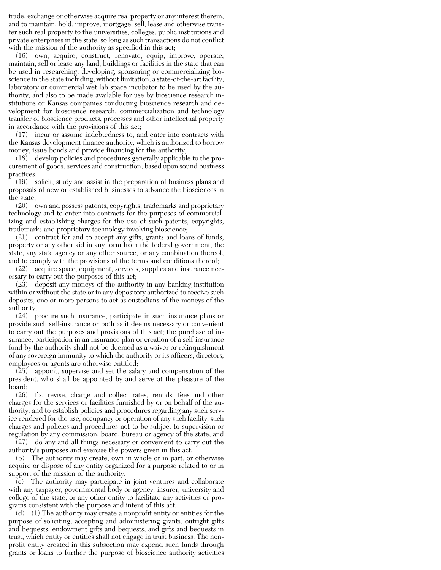trade, exchange or otherwise acquire real property or any interest therein, and to maintain, hold, improve, mortgage, sell, lease and otherwise transfer such real property to the universities, colleges, public institutions and private enterprises in the state, so long as such transactions do not conflict with the mission of the authority as specified in this act;

(16) own, acquire, construct, renovate, equip, improve, operate, maintain, sell or lease any land, buildings or facilities in the state that can be used in researching, developing, sponsoring or commercializing bioscience in the state including, without limitation, a state-of-the-art facility, laboratory or commercial wet lab space incubator to be used by the authority, and also to be made available for use by bioscience research institutions or Kansas companies conducting bioscience research and development for bioscience research, commercialization and technology transfer of bioscience products, processes and other intellectual property in accordance with the provisions of this act;

(17) incur or assume indebtedness to, and enter into contracts with the Kansas development finance authority, which is authorized to borrow money, issue bonds and provide financing for the authority;

(18) develop policies and procedures generally applicable to the procurement of goods, services and construction, based upon sound business practices;

(19) solicit, study and assist in the preparation of business plans and proposals of new or established businesses to advance the biosciences in the state;

(20) own and possess patents, copyrights, trademarks and proprietary technology and to enter into contracts for the purposes of commercializing and establishing charges for the use of such patents, copyrights, trademarks and proprietary technology involving bioscience;

(21) contract for and to accept any gifts, grants and loans of funds, property or any other aid in any form from the federal government, the state, any state agency or any other source, or any combination thereof, and to comply with the provisions of the terms and conditions thereof;

(22) acquire space, equipment, services, supplies and insurance necessary to carry out the purposes of this act;

(23) deposit any moneys of the authority in any banking institution within or without the state or in any depository authorized to receive such deposits, one or more persons to act as custodians of the moneys of the authority;

(24) procure such insurance, participate in such insurance plans or provide such self-insurance or both as it deems necessary or convenient to carry out the purposes and provisions of this act; the purchase of insurance, participation in an insurance plan or creation of a self-insurance fund by the authority shall not be deemed as a waiver or relinquishment of any sovereign immunity to which the authority or its officers, directors, employees or agents are otherwise entitled;

(25) appoint, supervise and set the salary and compensation of the president, who shall be appointed by and serve at the pleasure of the board;

(26) fix, revise, charge and collect rates, rentals, fees and other charges for the services or facilities furnished by or on behalf of the authority, and to establish policies and procedures regarding any such service rendered for the use, occupancy or operation of any such facility; such charges and policies and procedures not to be subject to supervision or regulation by any commission, board, bureau or agency of the state; and

(27) do any and all things necessary or convenient to carry out the authority's purposes and exercise the powers given in this act.

(b) The authority may create, own in whole or in part, or otherwise acquire or dispose of any entity organized for a purpose related to or in support of the mission of the authority.

(c) The authority may participate in joint ventures and collaborate with any taxpayer, governmental body or agency, insurer, university and college of the state, or any other entity to facilitate any activities or programs consistent with the purpose and intent of this act.

(d) (1) The authority may create a nonprofit entity or entities for the purpose of soliciting, accepting and administering grants, outright gifts and bequests, endowment gifts and bequests, and gifts and bequests in trust, which entity or entities shall not engage in trust business. The nonprofit entity created in this subsection may expend such funds through grants or loans to further the purpose of bioscience authority activities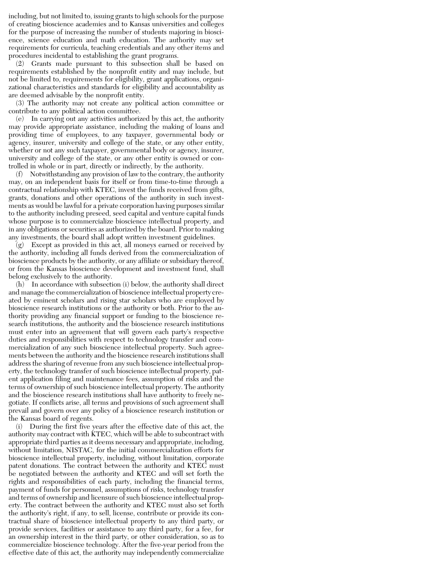including, but not limited to, issuing grants to high schools for the purpose of creating bioscience academies and to Kansas universities and colleges for the purpose of increasing the number of students majoring in bioscience, science education and math education. The authority may set requirements for curricula, teaching credentials and any other items and procedures incidental to establishing the grant programs.

(2) Grants made pursuant to this subsection shall be based on requirements established by the nonprofit entity and may include, but not be limited to, requirements for eligibility, grant applications, organizational characteristics and standards for eligibility and accountability as are deemed advisable by the nonprofit entity.

(3) The authority may not create any political action committee or contribute to any political action committee.

(e) In carrying out any activities authorized by this act, the authority may provide appropriate assistance, including the making of loans and providing time of employees, to any taxpayer, governmental body or agency, insurer, university and college of the state, or any other entity, whether or not any such taxpayer, governmental body or agency, insurer, university and college of the state, or any other entity is owned or controlled in whole or in part, directly or indirectly, by the authority.

(f) Notwithstanding any provision of law to the contrary, the authority may, on an independent basis for itself or from time-to-time through a contractual relationship with KTEC, invest the funds received from gifts, grants, donations and other operations of the authority in such investments as would be lawful for a private corporation having purposes similar to the authority including preseed, seed capital and venture capital funds whose purpose is to commercialize bioscience intellectual property, and in any obligations or securities as authorized by the board. Prior to making any investments, the board shall adopt written investment guidelines.

(g) Except as provided in this act, all moneys earned or received by the authority, including all funds derived from the commercialization of bioscience products by the authority, or any affiliate or subsidiary thereof, or from the Kansas bioscience development and investment fund, shall belong exclusively to the authority.

 $(h)$  In accordance with subsection (i) below, the authority shall direct and manage the commercialization of bioscience intellectual property created by eminent scholars and rising star scholars who are employed by bioscience research institutions or the authority or both. Prior to the authority providing any financial support or funding to the bioscience research institutions, the authority and the bioscience research institutions must enter into an agreement that will govern each party's respective duties and responsibilities with respect to technology transfer and commercialization of any such bioscience intellectual property. Such agreements between the authority and the bioscience research institutions shall address the sharing of revenue from any such bioscience intellectual property, the technology transfer of such bioscience intellectual property, patent application filing and maintenance fees, assumption of risks and the terms of ownership of such bioscience intellectual property. The authority and the bioscience research institutions shall have authority to freely negotiate. If conflicts arise, all terms and provisions of such agreement shall prevail and govern over any policy of a bioscience research institution or the Kansas board of regents.

(i) During the first five years after the effective date of this act, the authority may contract with KTEC, which will be able to subcontract with appropriate third parties as it deems necessary and appropriate, including, without limitation, NISTAC, for the initial commercialization efforts for bioscience intellectual property, including, without limitation, corporate patent donations. The contract between the authority and KTEC must be negotiated between the authority and KTEC and will set forth the rights and responsibilities of each party, including the financial terms, payment of funds for personnel, assumptions of risks, technology transfer and terms of ownership and licensure of such bioscience intellectual property. The contract between the authority and KTEC must also set forth the authority's right, if any, to sell, license, contribute or provide its contractual share of bioscience intellectual property to any third party, or provide services, facilities or assistance to any third party, for a fee, for an ownership interest in the third party, or other consideration, so as to commercialize bioscience technology. After the five-year period from the effective date of this act, the authority may independently commercialize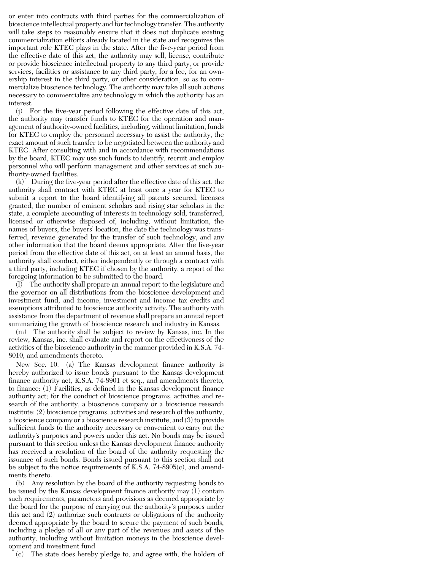or enter into contracts with third parties for the commercialization of bioscience intellectual property and for technology transfer. The authority will take steps to reasonably ensure that it does not duplicate existing commercialization efforts already located in the state and recognizes the important role KTEC plays in the state. After the five-year period from the effective date of this act, the authority may sell, license, contribute or provide bioscience intellectual property to any third party, or provide services, facilities or assistance to any third party, for a fee, for an ownership interest in the third party, or other consideration, so as to commercialize bioscience technology. The authority may take all such actions necessary to commercialize any technology in which the authority has an interest.

(j) For the five-year period following the effective date of this act, the authority may transfer funds to KTEC for the operation and management of authority-owned facilities, including, without limitation, funds for KTEC to employ the personnel necessary to assist the authority, the exact amount of such transfer to be negotiated between the authority and KTEC. After consulting with and in accordance with recommendations by the board, KTEC may use such funds to identify, recruit and employ personnel who will perform management and other services at such authority-owned facilities.

(k) During the five-year period after the effective date of this act, the authority shall contract with KTEC at least once a year for KTEC to submit a report to the board identifying all patents secured, licenses granted, the number of eminent scholars and rising star scholars in the state, a complete accounting of interests in technology sold, transferred, licensed or otherwise disposed of, including, without limitation, the names of buyers, the buyers' location, the date the technology was transferred, revenue generated by the transfer of such technology, and any other information that the board deems appropriate. After the five-year period from the effective date of this act, on at least an annual basis, the authority shall conduct, either independently or through a contract with a third party, including KTEC if chosen by the authority, a report of the foregoing information to be submitted to the board.

 $(l)$  The authority shall prepare an annual report to the legislature and the governor on all distributions from the bioscience development and investment fund, and income, investment and income tax credits and exemptions attributed to bioscience authority activity. The authority with assistance from the department of revenue shall prepare an annual report summarizing the growth of bioscience research and industry in Kansas.

(m) The authority shall be subject to review by Kansas, inc. In the review, Kansas, inc. shall evaluate and report on the effectiveness of the activities of the bioscience authority in the manner provided in K.S.A. 74- 8010, and amendments thereto.

New Sec. 10. (a) The Kansas development finance authority is hereby authorized to issue bonds pursuant to the Kansas development finance authority act, K.S.A. 74-8901 et seq., and amendments thereto, to finance: (1) Facilities, as defined in the Kansas development finance authority act; for the conduct of bioscience programs, activities and research of the authority, a bioscience company or a bioscience research institute; (2) bioscience programs, activities and research of the authority, a bioscience company or a bioscience research institute; and (3) to provide sufficient funds to the authority necessary or convenient to carry out the authority's purposes and powers under this act. No bonds may be issued pursuant to this section unless the Kansas development finance authority has received a resolution of the board of the authority requesting the issuance of such bonds. Bonds issued pursuant to this section shall not be subject to the notice requirements of K.S.A. 74-8905(c), and amendments thereto.

(b) Any resolution by the board of the authority requesting bonds to be issued by the Kansas development finance authority may (1) contain such requirements, parameters and provisions as deemed appropriate by the board for the purpose of carrying out the authority's purposes under this act and (2) authorize such contracts or obligations of the authority deemed appropriate by the board to secure the payment of such bonds, including a pledge of all or any part of the revenues and assets of the authority, including without limitation moneys in the bioscience development and investment fund.

(c) The state does hereby pledge to, and agree with, the holders of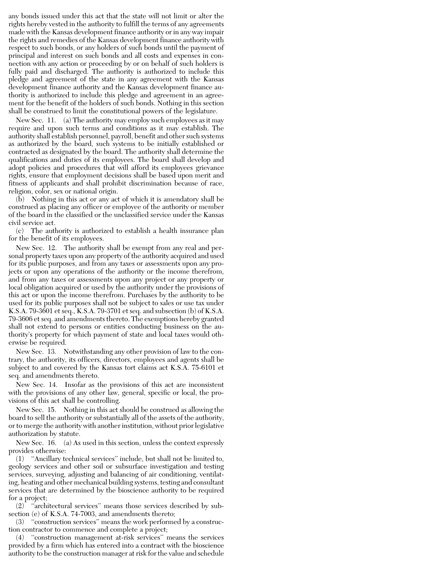any bonds issued under this act that the state will not limit or alter the rights hereby vested in the authority to fulfill the terms of any agreements made with the Kansas development finance authority or in any way impair the rights and remedies of the Kansas development finance authority with respect to such bonds, or any holders of such bonds until the payment of principal and interest on such bonds and all costs and expenses in connection with any action or proceeding by or on behalf of such holders is fully paid and discharged. The authority is authorized to include this pledge and agreement of the state in any agreement with the Kansas development finance authority and the Kansas development finance authority is authorized to include this pledge and agreement in an agreement for the benefit of the holders of such bonds. Nothing in this section shall be construed to limit the constitutional powers of the legislature.

New Sec. 11. (a) The authority may employ such employees as it may require and upon such terms and conditions as it may establish. The authority shall establish personnel, payroll, benefit and other such systems as authorized by the board, such systems to be initially established or contracted as designated by the board. The authority shall determine the qualifications and duties of its employees. The board shall develop and adopt policies and procedures that will afford its employees grievance rights, ensure that employment decisions shall be based upon merit and fitness of applicants and shall prohibit discrimination because of race, religion, color, sex or national origin.

(b) Nothing in this act or any act of which it is amendatory shall be construed as placing any officer or employee of the authority or member of the board in the classified or the unclassified service under the Kansas civil service act.

(c) The authority is authorized to establish a health insurance plan for the benefit of its employees.

New Sec. 12. The authority shall be exempt from any real and personal property taxes upon any property of the authority acquired and used for its public purposes, and from any taxes or assessments upon any projects or upon any operations of the authority or the income therefrom, and from any taxes or assessments upon any project or any property or local obligation acquired or used by the authority under the provisions of this act or upon the income therefrom. Purchases by the authority to be used for its public purposes shall not be subject to sales or use tax under K.S.A. 79-3601 et seq., K.S.A. 79-3701 et seq. and subsection (b) of K.S.A. 79-3606 et seq. and amendments thereto. The exemptions hereby granted shall not extend to persons or entities conducting business on the authority's property for which payment of state and local taxes would otherwise be required.

New Sec. 13. Notwithstanding any other provision of law to the contrary, the authority, its officers, directors, employees and agents shall be subject to and covered by the Kansas tort claims act K.S.A. 75-6101 et seq. and amendments thereto.

New Sec. 14. Insofar as the provisions of this act are inconsistent with the provisions of any other law, general, specific or local, the provisions of this act shall be controlling.

New Sec. 15. Nothing in this act should be construed as allowing the board to sell the authority or substantially all of the assets of the authority, or to merge the authority with another institution, without prior legislative authorization by statute.

New Sec. 16. (a) As used in this section, unless the context expressly provides otherwise:

(1) ''Ancillary technical services'' include, but shall not be limited to, geology services and other soil or subsurface investigation and testing services, surveying, adjusting and balancing of air conditioning, ventilating, heating and other mechanical building systems, testing and consultant services that are determined by the bioscience authority to be required for a project;

(2) ''architectural services'' means those services described by subsection (e) of K.S.A. 74-7003, and amendments thereto;

(3) ''construction services'' means the work performed by a construction contractor to commence and complete a project;

(4) ''construction management at-risk services'' means the services provided by a firm which has entered into a contract with the bioscience authority to be the construction manager at risk for the value and schedule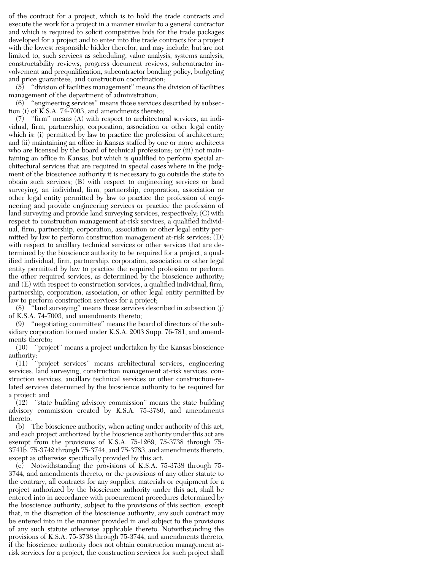of the contract for a project, which is to hold the trade contracts and execute the work for a project in a manner similar to a general contractor and which is required to solicit competitive bids for the trade packages developed for a project and to enter into the trade contracts for a project with the lowest responsible bidder therefor, and may include, but are not limited to, such services as scheduling, value analysis, systems analysis, constructability reviews, progress document reviews, subcontractor involvement and prequalification, subcontractor bonding policy, budgeting and price guarantees, and construction coordination;

(5) ''division of facilities management'' means the division of facilities management of the department of administration;

(6) ''engineering services'' means those services described by subsection (i) of K.S.A. 74-7003, and amendments thereto;

(7) ''firm'' means (A) with respect to architectural services, an individual, firm, partnership, corporation, association or other legal entity which is: (i) permitted by law to practice the profession of architecture; and (ii) maintaining an office in Kansas staffed by one or more architects who are licensed by the board of technical professions; or (iii) not maintaining an office in Kansas, but which is qualified to perform special architectural services that are required in special cases where in the judgment of the bioscience authority it is necessary to go outside the state to obtain such services; (B) with respect to engineering services or land surveying, an individual, firm, partnership, corporation, association or other legal entity permitted by law to practice the profession of engineering and provide engineering services or practice the profession of land surveying and provide land surveying services, respectively; (C) with respect to construction management at-risk services, a qualified individual, firm, partnership, corporation, association or other legal entity permitted by law to perform construction management at-risk services; (D) with respect to ancillary technical services or other services that are determined by the bioscience authority to be required for a project, a qualified individual, firm, partnership, corporation, association or other legal entity permitted by law to practice the required profession or perform the other required services, as determined by the bioscience authority; and (E) with respect to construction services, a qualified individual, firm, partnership, corporation, association, or other legal entity permitted by law to perform construction services for a project;

(8) ''land surveying'' means those services described in subsection (j) of K.S.A. 74-7003, and amendments thereto;

(9) ''negotiating committee'' means the board of directors of the subsidiary corporation formed under K.S.A. 2003 Supp. 76-781, and amendments thereto;

(10) ''project'' means a project undertaken by the Kansas bioscience authority;

(11) ''project services'' means architectural services, engineering services, land surveying, construction management at-risk services, construction services, ancillary technical services or other construction-related services determined by the bioscience authority to be required for a project; and

 $(12)$  "state building advisory commission" means the state building advisory commission created by K.S.A. 75-3780, and amendments thereto.

(b) The bioscience authority, when acting under authority of this act, and each project authorized by the bioscience authority under this act are exempt from the provisions of K.S.A. 75-1269, 75-3738 through 75- 3741b, 75-3742 through 75-3744, and 75-3783, and amendments thereto, except as otherwise specifically provided by this act.

(c) Notwithstanding the provisions of K.S.A. 75-3738 through 75- 3744, and amendments thereto, or the provisions of any other statute to the contrary, all contracts for any supplies, materials or equipment for a project authorized by the bioscience authority under this act, shall be entered into in accordance with procurement procedures determined by the bioscience authority, subject to the provisions of this section, except that, in the discretion of the bioscience authority, any such contract may be entered into in the manner provided in and subject to the provisions of any such statute otherwise applicable thereto. Notwithstanding the provisions of K.S.A. 75-3738 through 75-3744, and amendments thereto, if the bioscience authority does not obtain construction management atrisk services for a project, the construction services for such project shall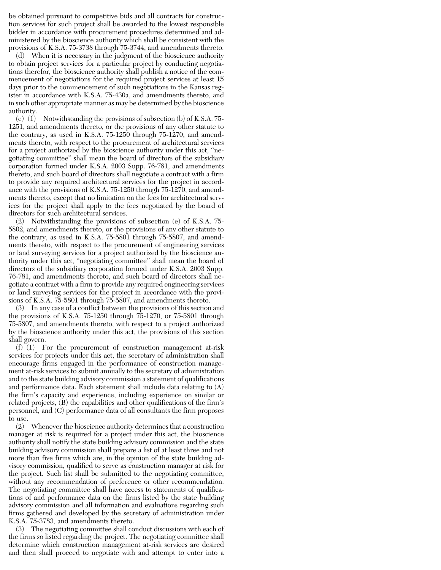be obtained pursuant to competitive bids and all contracts for construction services for such project shall be awarded to the lowest responsible bidder in accordance with procurement procedures determined and administered by the bioscience authority which shall be consistent with the provisions of K.S.A. 75-3738 through 75-3744, and amendments thereto.

(d) When it is necessary in the judgment of the bioscience authority to obtain project services for a particular project by conducting negotiations therefor, the bioscience authority shall publish a notice of the commencement of negotiations for the required project services at least 15 days prior to the commencement of such negotiations in the Kansas register in accordance with K.S.A. 75-430a, and amendments thereto, and in such other appropriate manner as may be determined by the bioscience authority.

(e)  $(1)$  Notwithstanding the provisions of subsection  $(b)$  of K.S.A. 75-1251, and amendments thereto, or the provisions of any other statute to the contrary, as used in K.S.A. 75-1250 through 75-1270, and amendments thereto, with respect to the procurement of architectural services for a project authorized by the bioscience authority under this act, ''negotiating committee'' shall mean the board of directors of the subsidiary corporation formed under K.S.A. 2003 Supp. 76-781, and amendments thereto, and such board of directors shall negotiate a contract with a firm to provide any required architectural services for the project in accordance with the provisions of K.S.A. 75-1250 through 75-1270, and amendments thereto, except that no limitation on the fees for architectural services for the project shall apply to the fees negotiated by the board of directors for such architectural services.

(2) Notwithstanding the provisions of subsection (e) of K.S.A. 75- 5802, and amendments thereto, or the provisions of any other statute to the contrary, as used in K.S.A. 75-5801 through 75-5807, and amendments thereto, with respect to the procurement of engineering services or land surveying services for a project authorized by the bioscience authority under this act, ''negotiating committee'' shall mean the board of directors of the subsidiary corporation formed under K.S.A. 2003 Supp. 76-781, and amendments thereto, and such board of directors shall negotiate a contract with a firm to provide any required engineering services or land surveying services for the project in accordance with the provisions of K.S.A. 75-5801 through 75-5807, and amendments thereto.

(3) In any case of a conflict between the provisions of this section and the provisions of K.S.A. 75-1250 through 75-1270, or 75-5801 through 75-5807, and amendments thereto, with respect to a project authorized by the bioscience authority under this act, the provisions of this section shall govern.

 $(f)$  (1) For the procurement of construction management at-risk services for projects under this act, the secretary of administration shall encourage firms engaged in the performance of construction management at-risk services to submit annually to the secretary of administration and to the state building advisory commission a statement of qualifications and performance data. Each statement shall include data relating to (A) the firm's capacity and experience, including experience on similar or related projects, (B) the capabilities and other qualifications of the firm's personnel, and (C) performance data of all consultants the firm proposes to use.

(2) Whenever the bioscience authority determines that a construction manager at risk is required for a project under this act, the bioscience authority shall notify the state building advisory commission and the state building advisory commission shall prepare a list of at least three and not more than five firms which are, in the opinion of the state building advisory commission, qualified to serve as construction manager at risk for the project. Such list shall be submitted to the negotiating committee, without any recommendation of preference or other recommendation. The negotiating committee shall have access to statements of qualifications of and performance data on the firms listed by the state building advisory commission and all information and evaluations regarding such firms gathered and developed by the secretary of administration under K.S.A. 75-3783, and amendments thereto.

(3) The negotiating committee shall conduct discussions with each of the firms so listed regarding the project. The negotiating committee shall determine which construction management at-risk services are desired and then shall proceed to negotiate with and attempt to enter into a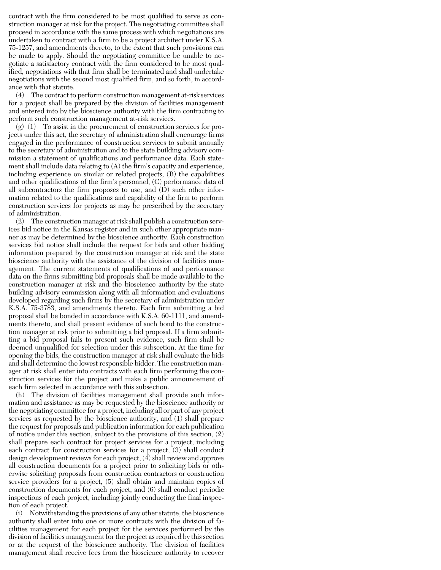contract with the firm considered to be most qualified to serve as construction manager at risk for the project. The negotiating committee shall proceed in accordance with the same process with which negotiations are undertaken to contract with a firm to be a project architect under K.S.A. 75-1257, and amendments thereto, to the extent that such provisions can be made to apply. Should the negotiating committee be unable to negotiate a satisfactory contract with the firm considered to be most qualified, negotiations with that firm shall be terminated and shall undertake negotiations with the second most qualified firm, and so forth, in accordance with that statute.

(4) The contract to perform construction management at-risk services for a project shall be prepared by the division of facilities management and entered into by the bioscience authority with the firm contracting to perform such construction management at-risk services.

 $(g)$  (1) To assist in the procurement of construction services for projects under this act, the secretary of administration shall encourage firms engaged in the performance of construction services to submit annually to the secretary of administration and to the state building advisory commission a statement of qualifications and performance data. Each statement shall include data relating to (A) the firm's capacity and experience, including experience on similar or related projects, (B) the capabilities and other qualifications of the firm's personnel, (C) performance data of all subcontractors the firm proposes to use, and  $(D)$  such other information related to the qualifications and capability of the firm to perform construction services for projects as may be prescribed by the secretary of administration.

(2) The construction manager at risk shall publish a construction services bid notice in the Kansas register and in such other appropriate manner as may be determined by the bioscience authority. Each construction services bid notice shall include the request for bids and other bidding information prepared by the construction manager at risk and the state bioscience authority with the assistance of the division of facilities management. The current statements of qualifications of and performance data on the firms submitting bid proposals shall be made available to the construction manager at risk and the bioscience authority by the state building advisory commission along with all information and evaluations developed regarding such firms by the secretary of administration under K.S.A. 75-3783, and amendments thereto. Each firm submitting a bid proposal shall be bonded in accordance with K.S.A. 60-1111, and amendments thereto, and shall present evidence of such bond to the construction manager at risk prior to submitting a bid proposal. If a firm submitting a bid proposal fails to present such evidence, such firm shall be deemed unqualified for selection under this subsection. At the time for opening the bids, the construction manager at risk shall evaluate the bids and shall determine the lowest responsible bidder. The construction manager at risk shall enter into contracts with each firm performing the construction services for the project and make a public announcement of each firm selected in accordance with this subsection.

(h) The division of facilities management shall provide such information and assistance as may be requested by the bioscience authority or the negotiating committee for a project, including all or part of any project services as requested by the bioscience authority, and (1) shall prepare the request for proposals and publication information for each publication of notice under this section, subject to the provisions of this section, (2) shall prepare each contract for project services for a project, including each contract for construction services for a project, (3) shall conduct design development reviews for each project, (4) shall review and approve all construction documents for a project prior to soliciting bids or otherwise soliciting proposals from construction contractors or construction service providers for a project, (5) shall obtain and maintain copies of construction documents for each project, and (6) shall conduct periodic inspections of each project, including jointly conducting the final inspection of each project.

(i) Notwithstanding the provisions of any other statute, the bioscience authority shall enter into one or more contracts with the division of facilities management for each project for the services performed by the division of facilities management for the project as required by this section or at the request of the bioscience authority. The division of facilities management shall receive fees from the bioscience authority to recover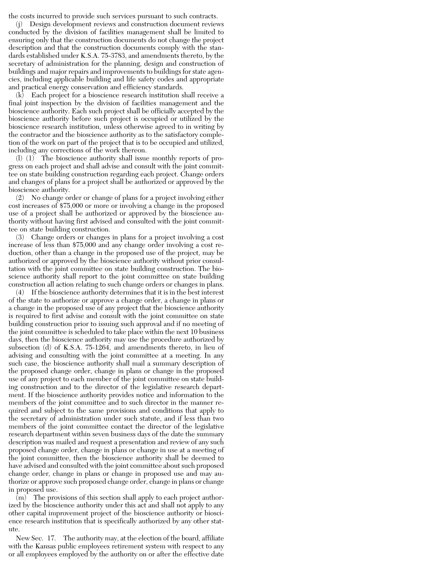the costs incurred to provide such services pursuant to such contracts.

(j) Design development reviews and construction document reviews conducted by the division of facilities management shall be limited to ensuring only that the construction documents do not change the project description and that the construction documents comply with the standards established under K.S.A. 75-3783, and amendments thereto, by the secretary of administration for the planning, design and construction of buildings and major repairs and improvements to buildings for state agencies, including applicable building and life safety codes and appropriate and practical energy conservation and efficiency standards.

(k) Each project for a bioscience research institution shall receive a final joint inspection by the division of facilities management and the bioscience authority. Each such project shall be officially accepted by the bioscience authority before such project is occupied or utilized by the bioscience research institution, unless otherwise agreed to in writing by the contractor and the bioscience authority as to the satisfactory completion of the work on part of the project that is to be occupied and utilized, including any corrections of the work thereon.

(l) (1) The bioscience authority shall issue monthly reports of progress on each project and shall advise and consult with the joint committee on state building construction regarding each project. Change orders and changes of plans for a project shall be authorized or approved by the bioscience authority.

(2) No change order or change of plans for a project involving either cost increases of \$75,000 or more or involving a change in the proposed use of a project shall be authorized or approved by the bioscience authority without having first advised and consulted with the joint committee on state building construction.

(3) Change orders or changes in plans for a project involving a cost increase of less than \$75,000 and any change order involving a cost reduction, other than a change in the proposed use of the project, may be authorized or approved by the bioscience authority without prior consultation with the joint committee on state building construction. The bioscience authority shall report to the joint committee on state building construction all action relating to such change orders or changes in plans.

(4) If the bioscience authority determines that it is in the best interest of the state to authorize or approve a change order, a change in plans or a change in the proposed use of any project that the bioscience authority is required to first advise and consult with the joint committee on state building construction prior to issuing such approval and if no meeting of the joint committee is scheduled to take place within the next 10 business days, then the bioscience authority may use the procedure authorized by subsection (d) of K.S.A. 75-1264, and amendments thereto, in lieu of advising and consulting with the joint committee at a meeting. In any such case, the bioscience authority shall mail a summary description of the proposed change order, change in plans or change in the proposed use of any project to each member of the joint committee on state building construction and to the director of the legislative research department. If the bioscience authority provides notice and information to the members of the joint committee and to such director in the manner required and subject to the same provisions and conditions that apply to the secretary of administration under such statute, and if less than two members of the joint committee contact the director of the legislative research department within seven business days of the date the summary description was mailed and request a presentation and review of any such proposed change order, change in plans or change in use at a meeting of the joint committee, then the bioscience authority shall be deemed to have advised and consulted with the joint committee about such proposed change order, change in plans or change in proposed use and may authorize or approve such proposed change order, change in plans or change in proposed use.

(m) The provisions of this section shall apply to each project authorized by the bioscience authority under this act and shall not apply to any other capital improvement project of the bioscience authority or bioscience research institution that is specifically authorized by any other statute.

New Sec. 17. The authority may, at the election of the board, affiliate with the Kansas public employees retirement system with respect to any or all employees employed by the authority on or after the effective date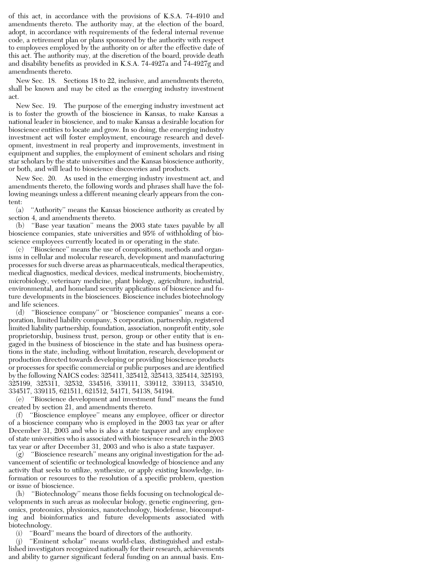of this act, in accordance with the provisions of K.S.A. 74-4910 and amendments thereto. The authority may, at the election of the board, adopt, in accordance with requirements of the federal internal revenue code, a retirement plan or plans sponsored by the authority with respect to employees employed by the authority on or after the effective date of this act. The authority may, at the discretion of the board, provide death and disability benefits as provided in K.S.A. 74-4927a and 74-4927g and amendments thereto.

New Sec. 18. Sections 18 to 22, inclusive, and amendments thereto, shall be known and may be cited as the emerging industry investment act.

New Sec. 19. The purpose of the emerging industry investment act is to foster the growth of the bioscience in Kansas, to make Kansas a national leader in bioscience, and to make Kansas a desirable location for bioscience entities to locate and grow. In so doing, the emerging industry investment act will foster employment, encourage research and development, investment in real property and improvements, investment in equipment and supplies, the employment of eminent scholars and rising star scholars by the state universities and the Kansas bioscience authority, or both, and will lead to bioscience discoveries and products.

New Sec. 20. As used in the emerging industry investment act, and amendments thereto, the following words and phrases shall have the following meanings unless a different meaning clearly appears from the content:

(a) ''Authority'' means the Kansas bioscience authority as created by section 4, and amendments thereto.

(b) ''Base year taxation'' means the 2003 state taxes payable by all bioscience companies, state universities and 95% of withholding of bioscience employees currently located in or operating in the state.

(c) ''Bioscience'' means the use of compositions, methods and organisms in cellular and molecular research, development and manufacturing processes for such diverse areas as pharmaceuticals, medical therapeutics, medical diagnostics, medical devices, medical instruments, biochemistry, microbiology, veterinary medicine, plant biology, agriculture, industrial, environmental, and homeland security applications of bioscience and future developments in the biosciences. Bioscience includes biotechnology and life sciences.

(d) ''Bioscience company'' or ''bioscience companies'' means a corporation, limited liability company, S corporation, partnership, registered limited liability partnership, foundation, association, nonprofit entity, sole proprietorship, business trust, person, group or other entity that is engaged in the business of bioscience in the state and has business operations in the state, including, without limitation, research, development or production directed towards developing or providing bioscience products or processes for specific commercial or public purposes and are identified by the following NAICS codes: 325411, 325412, 325413, 325414, 325193, 325199, 325311, 32532, 334516, 339111, 339112, 339113, 334510, 334517, 339115, 621511, 621512, 54171, 54138, 54194.

(e) ''Bioscience development and investment fund'' means the fund created by section 21, and amendments thereto.

(f) ''Bioscience employee'' means any employee, officer or director of a bioscience company who is employed in the 2003 tax year or after December 31, 2003 and who is also a state taxpayer and any employee of state universities who is associated with bioscience research in the 2003 tax year or after December 31, 2003 and who is also a state taxpayer.

(g) ''Bioscience research'' means any original investigation for the advancement of scientific or technological knowledge of bioscience and any activity that seeks to utilize, synthesize, or apply existing knowledge, information or resources to the resolution of a specific problem, question or issue of bioscience.

(h) ''Biotechnology'' means those fields focusing on technological developments in such areas as molecular biology, genetic engineering, genomics, proteomics, physiomics, nanotechnology, biodefense, biocomputing and bioinformatics and future developments associated with biotechnology.

(i) ''Board'' means the board of directors of the authority.

(j) ''Eminent scholar'' means world-class, distinguished and established investigators recognized nationally for their research, achievements and ability to garner significant federal funding on an annual basis. Em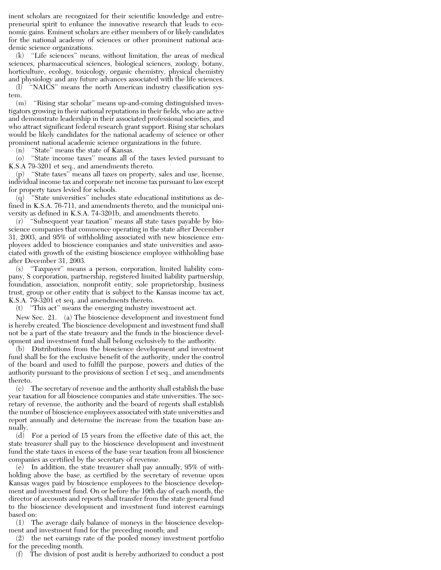inent scholars are recognized for their scientific knowledge and entrepreneurial spirit to enhance the innovative research that leads to economic gains. Eminent scholars are either members of or likely candidates for the national academy of sciences or other prominent national academic science organizations.

(k) ''Life sciences'' means, without limitation, the areas of medical sciences, pharmaceutical sciences, biological sciences, zoology, botany, horticulture, ecology, toxicology, organic chemistry, physical chemistry and physiology and any future advances associated with the life sciences.

(l) ''NAICS'' means the north American industry classification system.

(m) ''Rising star scholar'' means up-and-coming distinguished investigators growing in their national reputations in their fields, who are active and demonstrate leadership in their associated professional societies, and who attract significant federal research grant support. Rising star scholars would be likely candidates for the national academy of science or other prominent national academic science organizations in the future.

(n) ''State'' means the state of Kansas.

(o) ''State income taxes'' means all of the taxes levied pursuant to K.S.A 79-3201 et seq., and amendments thereto.

(p) ''State taxes'' means all taxes on property, sales and use, license, individual income tax and corporate net income tax pursuant to law except for property taxes levied for schools.

(q) ''State universities'' includes state educational institutions as defined in K.S.A. 76-711, and amendments thereto, and the municipal university as defined in K.S.A. 74-3201b, and amendments thereto.

(r) ''Subsequent year taxation'' means all state taxes payable by bioscience companies that commence operating in the state after December 31, 2003, and 95% of withholding associated with new bioscience employees added to bioscience companies and state universities and associated with growth of the existing bioscience employee withholding base after December 31, 2003.

(s) ''Taxpayer'' means a person, corporation, limited liability company, S corporation, partnership, registered limited liability partnership, foundation, association, nonprofit entity, sole proprietorship, business trust, group or other entity that is subject to the Kansas income tax act, K.S.A. 79-3201 et seq. and amendments thereto.

(t) ''This act'' means the emerging industry investment act.

New Sec. 21. (a) The bioscience development and investment fund is hereby created. The bioscience development and investment fund shall not be a part of the state treasury and the funds in the bioscience development and investment fund shall belong exclusively to the authority.

(b) Distributions from the bioscience development and investment fund shall be for the exclusive benefit of the authority, under the control of the board and used to fulfill the purpose, powers and duties of the authority pursuant to the provisions of section 1 et seq., and amendments thereto.

(c) The secretary of revenue and the authority shall establish the base year taxation for all bioscience companies and state universities. The secretary of revenue, the authority and the board of regents shall establish the number of bioscience employees associated with state universities and report annually and determine the increase from the taxation base annually.

(d) For a period of 15 years from the effective date of this act, the state treasurer shall pay to the bioscience development and investment fund the state taxes in excess of the base year taxation from all bioscience companies as certified by the secretary of revenue.

(e) In addition, the state treasurer shall pay annually, 95% of withholding above the base, as certified by the secretary of revenue upon Kansas wages paid by bioscience employees to the bioscience development and investment fund. On or before the 10th day of each month, the director of accounts and reports shall transfer from the state general fund to the bioscience development and investment fund interest earnings based on:

(1) The average daily balance of moneys in the bioscience development and investment fund for the preceding month; and

(2) the net earnings rate of the pooled money investment portfolio for the preceding month.

(f) The division of post audit is hereby authorized to conduct a post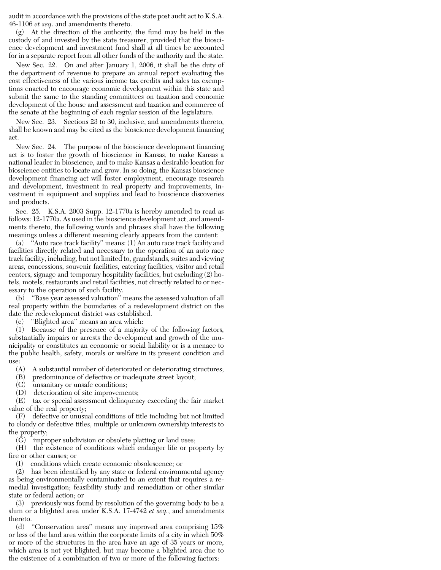audit in accordance with the provisions of the state post audit act to K.S.A. 46-1106 *et seq*. and amendments thereto.

(g) At the direction of the authority, the fund may be held in the custody of and invested by the state treasurer, provided that the bioscience development and investment fund shall at all times be accounted for in a separate report from all other funds of the authority and the state.

New Sec. 22. On and after January 1, 2006, it shall be the duty of the department of revenue to prepare an annual report evaluating the cost effectiveness of the various income tax credits and sales tax exemptions enacted to encourage economic development within this state and submit the same to the standing committees on taxation and economic development of the house and assessment and taxation and commerce of the senate at the beginning of each regular session of the legislature.

New Sec. 23. Sections 23 to 30, inclusive, and amendments thereto, shall be known and may be cited as the bioscience development financing act.

New Sec. 24. The purpose of the bioscience development financing act is to foster the growth of bioscience in Kansas, to make Kansas a national leader in bioscience, and to make Kansas a desirable location for bioscience entities to locate and grow. In so doing, the Kansas bioscience development financing act will foster employment, encourage research and development, investment in real property and improvements, investment in equipment and supplies and lead to bioscience discoveries and products.

Sec. 25. K.S.A. 2003 Supp. 12-1770a is hereby amended to read as follows: 12-1770a. As used in the bioscience development act, and amendments thereto, the following words and phrases shall have the following meanings unless a different meaning clearly appears from the content:

(a) ''Auto race track facility'' means: (1) An auto race track facility and facilities directly related and necessary to the operation of an auto race track facility, including, but not limited to, grandstands, suites and viewing areas, concessions, souvenir facilities, catering facilities, visitor and retail centers, signage and temporary hospitality facilities, but excluding (2) hotels, motels, restaurants and retail facilities, not directly related to or necessary to the operation of such facility.

(b) ''Base year assessed valuation'' means the assessed valuation of all real property within the boundaries of a redevelopment district on the date the redevelopment district was established.

(c) ''Blighted area'' means an area which:

(1) Because of the presence of a majority of the following factors, substantially impairs or arrests the development and growth of the municipality or constitutes an economic or social liability or is a menace to the public health, safety, morals or welfare in its present condition and use:

- (A) A substantial number of deteriorated or deteriorating structures;
- (B) predominance of defective or inadequate street layout;
- (C) unsanitary or unsafe conditions;
- (D) deterioration of site improvements;

(E) tax or special assessment delinquency exceeding the fair market value of the real property;

(F) defective or unusual conditions of title including but not limited to cloudy or defective titles, multiple or unknown ownership interests to the property;

(G) improper subdivision or obsolete platting or land uses;

(H) the existence of conditions which endanger life or property by fire or other causes; or

(I) conditions which create economic obsolescence; or

(2) has been identified by any state or federal environmental agency as being environmentally contaminated to an extent that requires a remedial investigation; feasibility study and remediation or other similar state or federal action; or

(3) previously was found by resolution of the governing body to be a slum or a blighted area under K.S.A. 17-4742 *et seq.*, and amendments thereto.

(d) ''Conservation area'' means any improved area comprising 15% or less of the land area within the corporate limits of a city in which 50% or more of the structures in the area have an age of 35 years or more, which area is not yet blighted, but may become a blighted area due to the existence of a combination of two or more of the following factors: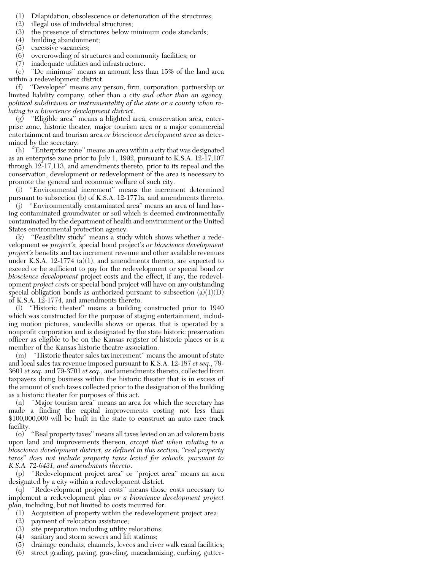- (1) Dilapidation, obsolescence or deterioration of the structures;
- (2) illegal use of individual structures;
- (3) the presence of structures below minimum code standards;
- (4) building abandonment;
- (5) excessive vacancies;
- (6) overcrowding of structures and community facilities; or
- (7) inadequate utilities and infrastructure.

(e) ''De minimus'' means an amount less than 15% of the land area within a redevelopment district.

(f) ''Developer'' means any person, firm, corporation, partnership or limited liability company, other than a city *and other than an agency, political subdivision or instrumentality of the state or a county when relating to a bioscience development district*.

(g) ''Eligible area'' means a blighted area, conservation area, enterprise zone, historic theater, major tourism area or a major commercial entertainment and tourism area *or bioscience development area* as determined by the secretary.

(h) ''Enterprise zone'' means an area within a city that was designated as an enterprise zone prior to July 1, 1992, pursuant to K.S.A. 12-17,107 through 12-17,113, and amendments thereto, prior to its repeal and the conservation, development or redevelopment of the area is necessary to promote the general and economic welfare of such city.

(i) ''Environmental increment'' means the increment determined pursuant to subsection (b) of K.S.A. 12-1771a, and amendments thereto.

(j) ''Environmentally contaminated area'' means an area of land having contaminated groundwater or soil which is deemed environmentally contaminated by the department of health and environment or the United States environmental protection agency.

(k) ''Feasibility study'' means a study which shows whether a redevelopment or *project's,* special bond project's *or bioscience development project's* benefits and tax increment revenue and other available revenues under K.S.A. 12-1774 (a)(1), and amendments thereto, are expected to exceed or be sufficient to pay for the redevelopment or special bond *or bioscience development* project costs and the effect, if any, the redevelopment *project costs* or special bond project will have on any outstanding special obligation bonds as authorized pursuant to subsection  $(a)(1)(D)$ of K.S.A. 12-1774, and amendments thereto.

(l) ''Historic theater'' means a building constructed prior to 1940 which was constructed for the purpose of staging entertainment, including motion pictures, vaudeville shows or operas, that is operated by a nonprofit corporation and is designated by the state historic preservation officer as eligible to be on the Kansas register of historic places or is a member of the Kansas historic theatre association.

(m) ''Historic theater sales tax increment'' means the amount of state and local sales tax revenue imposed pursuant to K.S.A. 12-187 *et seq.*, 79- 3601 *et seq.* and 79-3701 *et seq.*, and amendments thereto, collected from taxpayers doing business within the historic theater that is in excess of the amount of such taxes collected prior to the designation of the building as a historic theater for purposes of this act.

(n) ''Major tourism area'' means an area for which the secretary has made a finding the capital improvements costing not less than \$100,000,000 will be built in the state to construct an auto race track facility.

(o) ''Real property taxes'' means all taxes levied on an ad valorem basis upon land and improvements thereon*, except that when relating to a bioscience development district, as defined in this section, ''real property taxes'' does not include property taxes levied for schools, pursuant to K.S.A. 72-6431, and amendments thereto*.

(p) ''Redevelopment project area'' or ''project area'' means an area designated by a city within a redevelopment district.

(q) ''Redevelopment project costs'' means those costs necessary to implement a redevelopment plan *or a bioscience development project plan*, including, but not limited to costs incurred for:

- (1) Acquisition of property within the redevelopment project area;
- (2) payment of relocation assistance;
- (3) site preparation including utility relocations;
- (4) sanitary and storm sewers and lift stations;
- (5) drainage conduits, channels, levees and river walk canal facilities;
- (6) street grading, paving, graveling, macadamizing, curbing, gutter-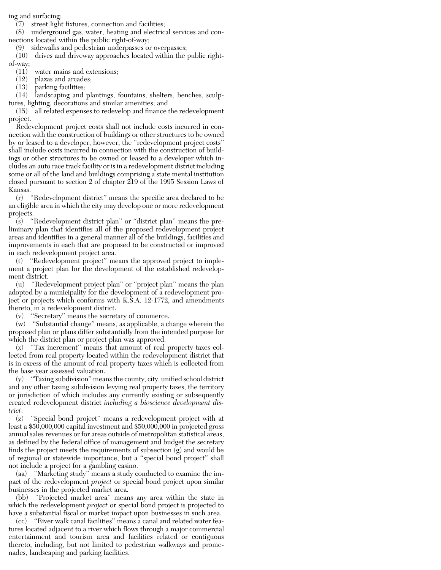ing and surfacing;

(7) street light fixtures, connection and facilities;

(8) underground gas, water, heating and electrical services and connections located within the public right-of-way;

(9) sidewalks and pedestrian underpasses or overpasses;

(10) drives and driveway approaches located within the public rightof-way;

(11) water mains and extensions;

(12) plazas and arcades;

(13) parking facilities;

(14) landscaping and plantings, fountains, shelters, benches, sculptures, lighting, decorations and similar amenities; and

(15) all related expenses to redevelop and finance the redevelopment project.

Redevelopment project costs shall not include costs incurred in connection with the construction of buildings or other structures to be owned by or leased to a developer, however, the ''redevelopment project costs'' shall include costs incurred in connection with the construction of buildings or other structures to be owned or leased to a developer which includes an auto race track facility or is in a redevelopment district including some or all of the land and buildings comprising a state mental institution closed pursuant to section 2 of chapter 219 of the 1995 Session Laws of Kansas.

(r) ''Redevelopment district'' means the specific area declared to be an eligible area in which the city may develop one or more redevelopment projects.

(s) ''Redevelopment district plan'' or ''district plan'' means the preliminary plan that identifies all of the proposed redevelopment project areas and identifies in a general manner all of the buildings, facilities and improvements in each that are proposed to be constructed or improved in each redevelopment project area.

(t) ''Redevelopment project'' means the approved project to implement a project plan for the development of the established redevelopment district.

(u) ''Redevelopment project plan'' or ''project plan'' means the plan adopted by a municipality for the development of a redevelopment project or projects which conforms with K.S.A. 12-1772, and amendments thereto, in a redevelopment district.

(v) ''Secretary'' means the secretary of commerce.

(w) ''Substantial change'' means, as applicable, a change wherein the proposed plan or plans differ substantially from the intended purpose for which the district plan or project plan was approved.

(x) ''Tax increment'' means that amount of real property taxes collected from real property located within the redevelopment district that is in excess of the amount of real property taxes which is collected from the base year assessed valuation.

(y) ''Taxing subdivision'' means the county, city, unified school district and any other taxing subdivision levying real property taxes, the territory or jurisdiction of which includes any currently existing or subsequently created redevelopment district *including a bioscience development district*.

(z) ''Special bond project'' means a redevelopment project with at least a \$50,000,000 capital investment and \$50,000,000 in projected gross annual sales revenues or for areas outside of metropolitan statistical areas, as defined by the federal office of management and budget the secretary finds the project meets the requirements of subsection (g) and would be of regional or statewide importance, but a ''special bond project'' shall not include a project for a gambling casino.

(aa) ''Marketing study'' means a study conducted to examine the impact of the redevelopment *project* or special bond project upon similar businesses in the projected market area.

(bb) ''Projected market area'' means any area within the state in which the redevelopment *project* or special bond project is projected to have a substantial fiscal or market impact upon businesses in such area.

(cc) ''River walk canal facilities'' means a canal and related water features located adjacent to a river which flows through a major commercial entertainment and tourism area and facilities related or contiguous thereto, including, but not limited to pedestrian walkways and promenades, landscaping and parking facilities.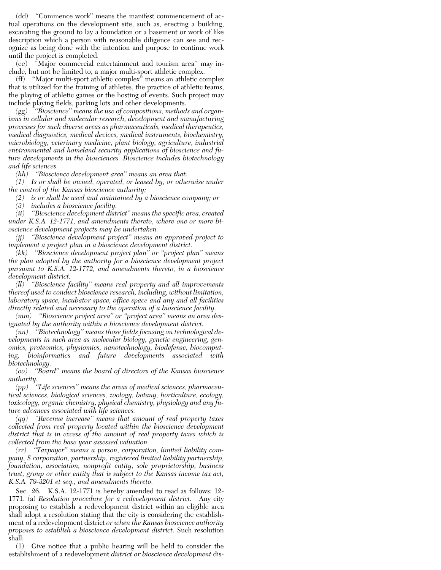(dd) ''Commence work'' means the manifest commencement of actual operations on the development site, such as, erecting a building, excavating the ground to lay a foundation or a basement or work of like description which a person with reasonable diligence can see and recognize as being done with the intention and purpose to continue work until the project is completed.

(ee) ''Major commercial entertainment and tourism area'' may include, but not be limited to, a major multi-sport athletic complex.

(ff) ''Major multi-sport athletic complex'' means an athletic complex that is utilized for the training of athletes, the practice of athletic teams, the playing of athletic games or the hosting of events. Such project may include playing fields, parking lots and other developments.

*(gg) ''Bioscience'' means the use of compositions, methods and organisms in cellular and molecular research, development and manufacturing processes for such diverse areas as pharmaceuticals, medical therapeutics, medical diagnostics, medical devices, medical instruments, biochemistry, microbiology, veterinary medicine, plant biology, agriculture, industrial environmental and homeland security applications of bioscience and future developments in the biosciences. Bioscience includes biotechnology and life sciences.*

*(hh) ''Bioscience development area'' means an area that:*

*(1) Is or shall be owned, operated, or leased by, or otherwise under the control of the Kansas bioscience authority;*

*(2) is or shall be used and maintained by a bioscience company; or*

*(3) includes a bioscience facility.*

*(ii) ''Bioscience development district'' means the specific area, created under K.S.A. 12-1771, and amendments thereto, where one or more bioscience development projects may be undertaken.*

*(jj) ''Bioscience development project'' means an approved project to implement a project plan in a bioscience development district.*

*(kk) ''Bioscience development project plan'' or ''project plan'' means the plan adopted by the authority for a bioscience development project pursuant to K.S.A. 12-1772, and amendments thereto, in a bioscience development district.*

*(ll) ''Bioscience facility'' means real property and all improvements thereof used to conduct bioscience research, including, without limitation, laboratory space, incubator space, office space and any and all facilities directly related and necessary to the operation of a bioscience facility.*

*(mm) ''Bioscience project area'' or ''project area'' means an area designated by the authority within a bioscience development district.*

*(nn) ''Biotechnology'' means those fields focusing on technological developments in such area as molecular biology, genetic engineering, genomics, proteomics, physiomics, nanotechnology, biodefense, biocomputing, bioinformatics and future developments associated with biotechnology.*

*(oo) ''Board'' means the board of directors of the Kansas bioscience authority.*

*(pp) ''Life sciences'' means the areas of medical sciences, pharmaceutical sciences, biological sciences, zoology, botany, horticulture, ecology, toxicology, organic chemistry, physical chemistry, physiology and any future advances associated with life sciences.*

*(qq) ''Revenue increase'' means that amount of real property taxes collected from real property located within the bioscience development district that is in excess of the amount of real property taxes which is collected from the base year assessed valuation.*

*(rr) ''Taxpayer'' means a person, corporation, limited liability company, S corporation, partnership, registered limited liability partnership, foundation, association, nonprofit entity, sole proprietorship, business trust, group or other entity that is subject to the Kansas income tax act, K.S.A. 79-3201 et seq., and amendments thereto.*

Sec. 26. K.S.A. 12-1771 is hereby amended to read as follows: 12- 1771. (a) *Resolution procedure for a redevelopment district.* Any city proposing to establish a redevelopment district within an eligible area shall adopt a resolution stating that the city is considering the establishment of a redevelopment district *or when the Kansas bioscience authority proposes to establish a bioscience development district*. Such resolution shall:

(1) Give notice that a public hearing will be held to consider the establishment of a redevelopment *district or bioscience development* dis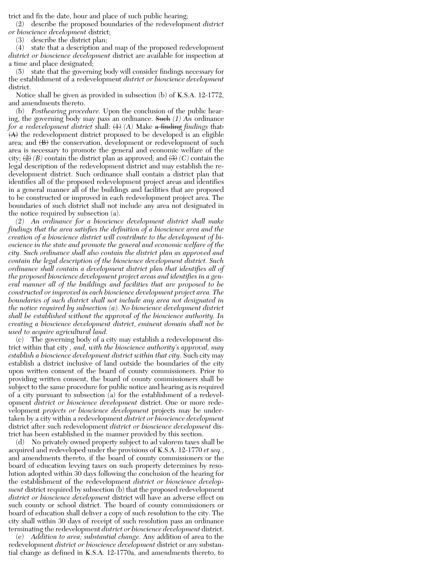trict and fix the date, hour and place of such public hearing;

(2) describe the proposed boundaries of the redevelopment *district or bioscience development* district;

(3) describe the district plan;

(4) state that a description and map of the proposed redevelopment *district or bioscience development* district are available for inspection at a time and place designated;

(5) state that the governing body will consider findings necessary for the establishment of a redevelopment *district or bioscience development* district.

Notice shall be given as provided in subsection (b) of K.S.A. 12-1772, and amendments thereto.

(b) *Posthearing procedure.* Upon the conclusion of the public hearing, the governing body may pass an ordinance. Such *(1) An* ordinance *for a redevelopment district* shall:  $\langle 1 \rangle$  *(A)* Make a finding *findings* that:  $\langle A \rangle$  the redevelopment district proposed to be developed is an eligible area; and  $\langle B \rangle$  the conservation, development or redevelopment of such area is necessary to promote the general and economic welfare of the city;  $\langle 2 \rangle$  *(B)* contain the district plan as approved; and  $\langle 3 \rangle$  *(C)* contain the legal description of the redevelopment district and may establish the redevelopment district. Such ordinance shall contain a district plan that identifies all of the proposed redevelopment project areas and identifies in a general manner all of the buildings and facilities that are proposed to be constructed or improved in each redevelopment project area. The boundaries of such district shall not include any area not designated in the notice required by subsection (a).

*(2) An ordinance for a bioscience development district shall make findings that the area satisfies the definition of a bioscience area and the creation of a bioscience district will contribute to the development of bioscience in the state and promote the general and economic welfare of the city. Such ordinance shall also contain the district plan as approved and contain the legal description of the bioscience development district. Such ordinance shall contain a development district plan that identifies all of the proposed bioscience development project areas and identifies in a general manner all of the buildings and facilities that are proposed to be constructed or improved in each bioscience development project area. The boundaries of such district shall not include any area not designated in the notice required by subsection (a). No bioscience development district shall be established without the approval of the bioscience authority. In creating a bioscience development district, eminent domain shall not be used to acquire agricultural land.*

(c) The governing body of a city may establish a redevelopment district within that city *, and, with the bioscience authority's approval, may establish a bioscience development district within that city*. Such city may establish a district inclusive of land outside the boundaries of the city upon written consent of the board of county commissioners. Prior to providing written consent, the board of county commissioners shall be subject to the same procedure for public notice and hearing as is required of a city pursuant to subsection (a) for the establishment of a redevelopment *district or bioscience development* district. One or more redevelopment *projects or bioscience development* projects may be undertaken by a city within a redevelopment *district or bioscience development* district after such redevelopment *district or bioscience development* district has been established in the manner provided by this section.

(d) No privately owned property subject to ad valorem taxes shall be acquired and redeveloped under the provisions of K.S.A. 12-1770 *et seq.*, and amendments thereto, if the board of county commissioners or the board of education levying taxes on such property determines by resolution adopted within 30 days following the conclusion of the hearing for the establishment of the redevelopment *district or bioscience development* district required by subsection (b) that the proposed redevelopment *district or bioscience development* district will have an adverse effect on such county or school district. The board of county commissioners or board of education shall deliver a copy of such resolution to the city. The city shall within 30 days of receipt of such resolution pass an ordinance terminating the redevelopment *district or bioscience development* district.

(e) *Addition to area; substantial change.* Any addition of area to the redevelopment *district or bioscience development* district or any substantial change as defined in K.S.A. 12-1770a, and amendments thereto, to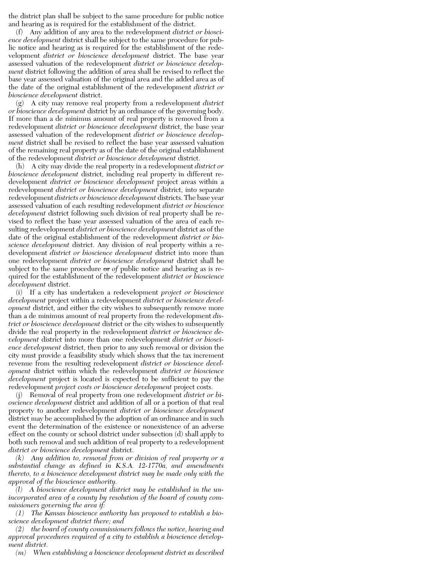the district plan shall be subject to the same procedure for public notice and hearing as is required for the establishment of the district.

(f) Any addition of any area to the redevelopment *district or bioscience development* district shall be subject to the same procedure for public notice and hearing as is required for the establishment of the redevelopment *district or bioscience development* district. The base year assessed valuation of the redevelopment *district or bioscience development* district following the addition of area shall be revised to reflect the base year assessed valuation of the original area and the added area as of the date of the original establishment of the redevelopment *district or bioscience development* district.

(g) A city may remove real property from a redevelopment *district or bioscience development* district by an ordinance of the governing body. If more than a de minimus amount of real property is removed from a redevelopment *district or bioscience development* district, the base year assessed valuation of the redevelopment *district or bioscience development* district shall be revised to reflect the base year assessed valuation of the remaining real property as of the date of the original establishment of the redevelopment *district or bioscience development* district.

(h) A city may divide the real property in a redevelopment *district or bioscience development* district, including real property in different redevelopment *district or bioscience development* project areas within a redevelopment *district or bioscience development* district, into separate redevelopment *districts or bioscience development* districts. The base year assessed valuation of each resulting redevelopment *district or bioscience development* district following such division of real property shall be revised to reflect the base year assessed valuation of the area of each resulting redevelopment *district or bioscience development* district as of the date of the original establishment of the redevelopment *district or bioscience development* district. Any division of real property within a redevelopment *district or bioscience development* district into more than one redevelopment *district or bioscience development* district shall be subject to the same procedure  $\Theta$  of public notice and hearing as is required for the establishment of the redevelopment *district or bioscience development* district.

(i) If a city has undertaken a redevelopment *project or bioscience development* project within a redevelopment *district or bioscience development* district, and either the city wishes to subsequently remove more than a de minimus amount of real property from the redevelopment *district or bioscience development* district or the city wishes to subsequently divide the real property in the redevelopment *district or bioscience development* district into more than one redevelopment *district or bioscience development* district, then prior to any such removal or division the city must provide a feasibility study which shows that the tax increment revenue from the resulting redevelopment *district or bioscience development* district within which the redevelopment *district or bioscience development* project is located is expected to be sufficient to pay the redevelopment *project costs or bioscience development* project costs.

(j) Removal of real property from one redevelopment *district or bioscience development* district and addition of all or a portion of that real property to another redevelopment *district or bioscience development* district may be accomplished by the adoption of an ordinance and in such event the determination of the existence or nonexistence of an adverse effect on the county or school district under subsection (d) shall apply to both such removal and such addition of real property to a redevelopment *district or bioscience development* district.

*(k) Any addition to, removal from or division of real property or a substantial change as defined in K.S.A. 12-1770a, and amendments thereto, to a bioscience development district may be made only with the approval of the bioscience authority.*

*(l) A bioscience development district may be established in the unincorporated area of a county by resolution of the board of county commissioners governing the area if:*

*(1) The Kansas bioscience authority has proposed to establish a bioscience development district there; and*

*(2) the board of county commissioners follows the notice, hearing and approval procedures required of a city to establish a bioscience development district.*

*(m) When establishing a bioscience development district as described*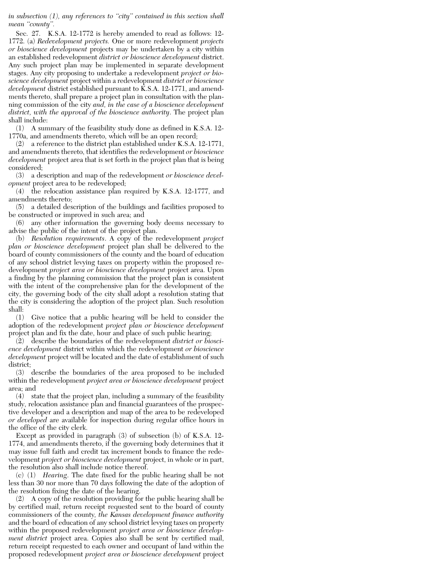*in subsection (1), any references to ''city'' contained in this section shall mean ''county''.*

Sec. 27. K.S.A. 12-1772 is hereby amended to read as follows: 12- 1772. (a) *Redevelopment projects.* One or more redevelopment *projects or bioscience development* projects may be undertaken by a city within an established redevelopment *district or bioscience development* district. Any such project plan may be implemented in separate development stages. Any city proposing to undertake a redevelopment *project or bioscience development* project within a redevelopment *district or bioscience development* district established pursuant to K.S.A. 12-1771, and amendments thereto, shall prepare a project plan in consultation with the planning commission of the city *and, in the case of a bioscience development district, with the approval of the bioscience authority*. The project plan shall include:

(1) A summary of the feasibility study done as defined in K.S.A. 12- 1770a, and amendments thereto, which will be an open record;

(2) a reference to the district plan established under K.S.A. 12-1771, and amendments thereto, that identifies the redevelopment *or bioscience development* project area that is set forth in the project plan that is being considered;

(3) a description and map of the redevelopment *or bioscience development* project area to be redeveloped;

(4) the relocation assistance plan required by K.S.A. 12-1777, and amendments thereto;

(5) a detailed description of the buildings and facilities proposed to be constructed or improved in such area; and

(6) any other information the governing body deems necessary to advise the public of the intent of the project plan.

(b) *Resolution requirements*. A copy of the redevelopment *project plan or bioscience development* project plan shall be delivered to the board of county commissioners of the county and the board of education of any school district levying taxes on property within the proposed redevelopment *project area or bioscience development* project area. Upon a finding by the planning commission that the project plan is consistent with the intent of the comprehensive plan for the development of the city, the governing body of the city shall adopt a resolution stating that the city is considering the adoption of the project plan. Such resolution shall:

(1) Give notice that a public hearing will be held to consider the adoption of the redevelopment *project plan or bioscience development* project plan and fix the date, hour and place of such public hearing;

(2) describe the boundaries of the redevelopment *district or bioscience development* district within which the redevelopment *or bioscience development* project will be located and the date of establishment of such district;

(3) describe the boundaries of the area proposed to be included within the redevelopment *project area or bioscience development* project area; and

(4) state that the project plan, including a summary of the feasibility study, relocation assistance plan and financial guarantees of the prospective developer and a description and map of the area to be redeveloped *or developed* are available for inspection during regular office hours in the office of the city clerk.

Except as provided in paragraph (3) of subsection (b) of K.S.A. 12- 1774, and amendments thereto, if the governing body determines that it may issue full faith and credit tax increment bonds to finance the redevelopment *project or bioscience development* project, in whole or in part, the resolution also shall include notice thereof.

(c) (1) *Hearing*. The date fixed for the public hearing shall be not less than 30 nor more than 70 days following the date of the adoption of the resolution fixing the date of the hearing.

(2) A copy of the resolution providing for the public hearing shall be by certified mail, return receipt requested sent to the board of county commissioners of the county*, the Kansas development finance authority* and the board of education of any school district levying taxes on property within the proposed redevelopment *project area or bioscience development district* project area. Copies also shall be sent by certified mail, return receipt requested to each owner and occupant of land within the proposed redevelopment *project area or bioscience development* project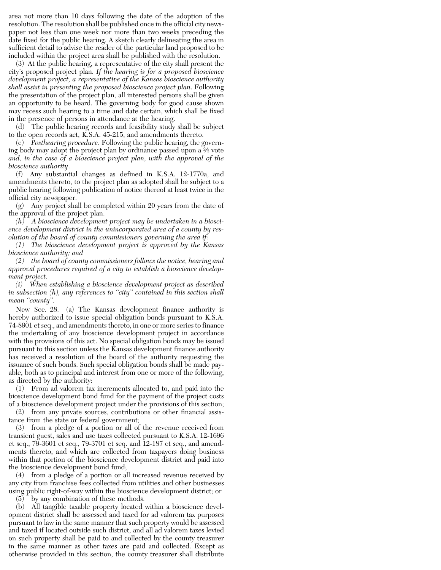area not more than 10 days following the date of the adoption of the resolution. The resolution shall be published once in the official city newspaper not less than one week nor more than two weeks preceding the date fixed for the public hearing. A sketch clearly delineating the area in sufficient detail to advise the reader of the particular land proposed to be included within the project area shall be published with the resolution.

(3) At the public hearing, a representative of the city shall present the city's proposed project plan*. If the hearing is for a proposed bioscience development project, a representative of the Kansas bioscience authority shall assist in presenting the proposed bioscience project plan*. Following the presentation of the project plan, all interested persons shall be given an opportunity to be heard. The governing body for good cause shown may recess such hearing to a time and date certain, which shall be fixed in the presence of persons in attendance at the hearing.

(d) The public hearing records and feasibility study shall be subject to the open records act, K.S.A. 45-215, and amendments thereto.

(e) *Posthearing procedure*. Following the public hearing, the governing body may adopt the project plan by ordinance passed upon a <sup>2</sup> ⁄3 vote *and, in the case of a bioscience project plan, with the approval of the bioscience authority*.

(f) Any substantial changes as defined in K.S.A. 12-1770a, and amendments thereto, to the project plan as adopted shall be subject to a public hearing following publication of notice thereof at least twice in the official city newspaper.

(g) Any project shall be completed within 20 years from the date of the approval of the project plan.

*(h) A bioscience development project may be undertaken in a bioscience development district in the unincorporated area of a county by resolution of the board of county commissioners governing the area if:*

*(1) The bioscience development project is approved by the Kansas bioscience authority; and*

*(2) the board of county commissioners follows the notice, hearing and approval procedures required of a city to establish a bioscience development project.*

*(i) When establishing a bioscience development project as described in subsection (h), any references to ''city'' contained in this section shall mean ''county''.*

New Sec. 28. (a) The Kansas development finance authority is hereby authorized to issue special obligation bonds pursuant to K.S.A. 74-8901 et seq., and amendments thereto, in one or more series to finance the undertaking of any bioscience development project in accordance with the provisions of this act. No special obligation bonds may be issued pursuant to this section unless the Kansas development finance authority has received a resolution of the board of the authority requesting the issuance of such bonds. Such special obligation bonds shall be made payable, both as to principal and interest from one or more of the following, as directed by the authority:

(1) From ad valorem tax increments allocated to, and paid into the bioscience development bond fund for the payment of the project costs of a bioscience development project under the provisions of this section;

(2) from any private sources, contributions or other financial assistance from the state or federal government;

(3) from a pledge of a portion or all of the revenue received from transient guest, sales and use taxes collected pursuant to K.S.A. 12-1696 et seq., 79-3601 et seq., 79-3701 et seq. and 12-187 et seq., and amendments thereto, and which are collected from taxpayers doing business within that portion of the bioscience development district and paid into the bioscience development bond fund;

(4) from a pledge of a portion or all increased revenue received by any city from franchise fees collected from utilities and other businesses using public right-of-way within the bioscience development district; or

(5) by any combination of these methods.

(b) All tangible taxable property located within a bioscience development district shall be assessed and taxed for ad valorem tax purposes pursuant to law in the same manner that such property would be assessed and taxed if located outside such district, and all ad valorem taxes levied on such property shall be paid to and collected by the county treasurer in the same manner as other taxes are paid and collected. Except as otherwise provided in this section, the county treasurer shall distribute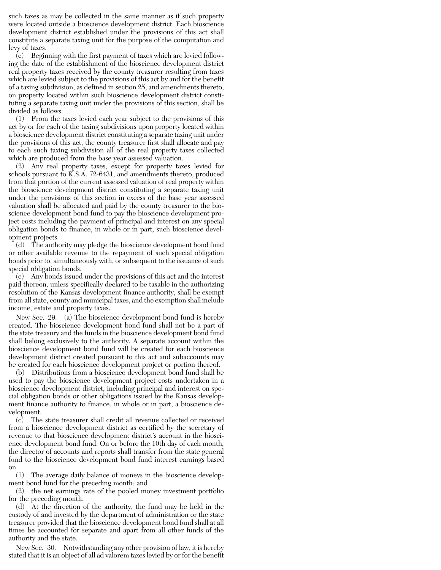such taxes as may be collected in the same manner as if such property were located outside a bioscience development district. Each bioscience development district established under the provisions of this act shall constitute a separate taxing unit for the purpose of the computation and levy of taxes.

(c) Beginning with the first payment of taxes which are levied following the date of the establishment of the bioscience development district real property taxes received by the county treasurer resulting from taxes which are levied subject to the provisions of this act by and for the benefit of a taxing subdivision, as defined in section 25, and amendments thereto, on property located within such bioscience development district constituting a separate taxing unit under the provisions of this section, shall be divided as follows:

(1) From the taxes levied each year subject to the provisions of this act by or for each of the taxing subdivisions upon property located within a bioscience development district constituting a separate taxing unit under the provisions of this act, the county treasurer first shall allocate and pay to each such taxing subdivision all of the real property taxes collected which are produced from the base year assessed valuation.

(2) Any real property taxes, except for property taxes levied for schools pursuant to K.S.A. 72-6431, and amendments thereto, produced from that portion of the current assessed valuation of real property within the bioscience development district constituting a separate taxing unit under the provisions of this section in excess of the base year assessed valuation shall be allocated and paid by the county treasurer to the bioscience development bond fund to pay the bioscience development project costs including the payment of principal and interest on any special obligation bonds to finance, in whole or in part, such bioscience development projects.

(d) The authority may pledge the bioscience development bond fund or other available revenue to the repayment of such special obligation bonds prior to, simultaneously with, or subsequent to the issuance of such special obligation bonds.

(e) Any bonds issued under the provisions of this act and the interest paid thereon, unless specifically declared to be taxable in the authorizing resolution of the Kansas development finance authority, shall be exempt from all state, county and municipal taxes, and the exemption shall include income, estate and property taxes.

New Sec. 29. (a) The bioscience development bond fund is hereby created. The bioscience development bond fund shall not be a part of the state treasury and the funds in the bioscience development bond fund shall belong exclusively to the authority. A separate account within the bioscience development bond fund will be created for each bioscience development district created pursuant to this act and subaccounts may be created for each bioscience development project or portion thereof.

(b) Distributions from a bioscience development bond fund shall be used to pay the bioscience development project costs undertaken in a bioscience development district, including principal and interest on special obligation bonds or other obligations issued by the Kansas development finance authority to finance, in whole or in part, a bioscience development.

(c) The state treasurer shall credit all revenue collected or received from a bioscience development district as certified by the secretary of revenue to that bioscience development district's account in the bioscience development bond fund. On or before the 10th day of each month, the director of accounts and reports shall transfer from the state general fund to the bioscience development bond fund interest earnings based on:

(1) The average daily balance of moneys in the bioscience development bond fund for the preceding month; and

(2) the net earnings rate of the pooled money investment portfolio for the preceding month.

(d) At the direction of the authority, the fund may be held in the custody of and invested by the department of administration or the state treasurer provided that the bioscience development bond fund shall at all times be accounted for separate and apart from all other funds of the authority and the state.

New Sec. 30. Notwithstanding any other provision of law, it is hereby stated that it is an object of all ad valorem taxes levied by or for the benefit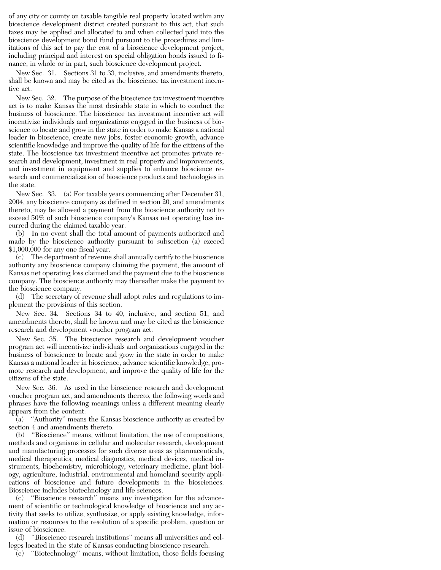of any city or county on taxable tangible real property located within any bioscience development district created pursuant to this act, that such taxes may be applied and allocated to and when collected paid into the bioscience development bond fund pursuant to the procedures and limitations of this act to pay the cost of a bioscience development project, including principal and interest on special obligation bonds issued to finance, in whole or in part, such bioscience development project.

New Sec. 31. Sections 31 to 33, inclusive, and amendments thereto, shall be known and may be cited as the bioscience tax investment incentive act.

New Sec. 32. The purpose of the bioscience tax investment incentive act is to make Kansas the most desirable state in which to conduct the business of bioscience. The bioscience tax investment incentive act will incentivize individuals and organizations engaged in the business of bioscience to locate and grow in the state in order to make Kansas a national leader in bioscience, create new jobs, foster economic growth, advance scientific knowledge and improve the quality of life for the citizens of the state. The bioscience tax investment incentive act promotes private research and development, investment in real property and improvements, and investment in equipment and supplies to enhance bioscience research and commercialization of bioscience products and technologies in the state.

New Sec. 33. (a) For taxable years commencing after December 31, 2004, any bioscience company as defined in section 20, and amendments thereto, may be allowed a payment from the bioscience authority not to exceed 50% of such bioscience company's Kansas net operating loss incurred during the claimed taxable year.

(b) In no event shall the total amount of payments authorized and made by the bioscience authority pursuant to subsection (a) exceed \$1,000,000 for any one fiscal year.

(c) The department of revenue shall annually certify to the bioscience authority any bioscience company claiming the payment, the amount of Kansas net operating loss claimed and the payment due to the bioscience company. The bioscience authority may thereafter make the payment to the bioscience company.

(d) The secretary of revenue shall adopt rules and regulations to implement the provisions of this section.

New Sec. 34. Sections 34 to 40, inclusive, and section 51, and amendments thereto, shall be known and may be cited as the bioscience research and development voucher program act.

New Sec. 35. The bioscience research and development voucher program act will incentivize individuals and organizations engaged in the business of bioscience to locate and grow in the state in order to make Kansas a national leader in bioscience, advance scientific knowledge, promote research and development, and improve the quality of life for the citizens of the state.

New Sec. 36. As used in the bioscience research and development voucher program act, and amendments thereto, the following words and phrases have the following meanings unless a different meaning clearly appears from the content:

(a) ''Authority'' means the Kansas bioscience authority as created by section 4 and amendments thereto.

(b) ''Bioscience'' means, without limitation, the use of compositions, methods and organisms in cellular and molecular research, development and manufacturing processes for such diverse areas as pharmaceuticals, medical therapeutics, medical diagnostics, medical devices, medical instruments, biochemistry, microbiology, veterinary medicine, plant biology, agriculture, industrial, environmental and homeland security applications of bioscience and future developments in the biosciences. Bioscience includes biotechnology and life sciences.

(c) ''Bioscience research'' means any investigation for the advancement of scientific or technological knowledge of bioscience and any activity that seeks to utilize, synthesize, or apply existing knowledge, information or resources to the resolution of a specific problem, question or issue of bioscience.

(d) ''Bioscience research institutions'' means all universities and colleges located in the state of Kansas conducting bioscience research.

(e) ''Biotechnology'' means, without limitation, those fields focusing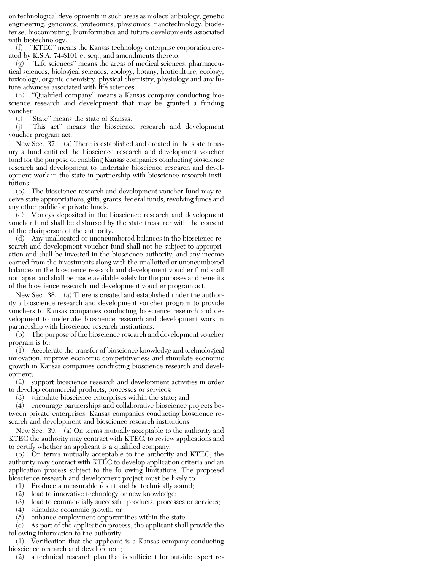on technological developments in such areas as molecular biology, genetic engineering, genomics, proteomics, physiomics, nanotechnology, biodefense, biocomputing, bioinformatics and future developments associated with biotechnology.

(f) ''KTEC'' means the Kansas technology enterprise corporation created by K.S.A. 74-8101 et seq., and amendments thereto.

(g) ''Life sciences'' means the areas of medical sciences, pharmaceutical sciences, biological sciences, zoology, botany, horticulture, ecology, toxicology, organic chemistry, physical chemistry, physiology and any future advances associated with life sciences.

(h) ''Qualified company'' means a Kansas company conducting bioscience research and development that may be granted a funding voucher.

(i) ''State'' means the state of Kansas.

(j) ''This act'' means the bioscience research and development voucher program act.

New Sec. 37. (a) There is established and created in the state treasury a fund entitled the bioscience research and development voucher fund for the purpose of enabling Kansas companies conducting bioscience research and development to undertake bioscience research and development work in the state in partnership with bioscience research institutions.

(b) The bioscience research and development voucher fund may receive state appropriations, gifts, grants, federal funds, revolving funds and any other public or private funds.

(c) Moneys deposited in the bioscience research and development voucher fund shall be disbursed by the state treasurer with the consent of the chairperson of the authority.

(d) Any unallocated or unencumbered balances in the bioscience research and development voucher fund shall not be subject to appropriation and shall be invested in the bioscience authority, and any income earned from the investments along with the unallotted or unencumbered balances in the bioscience research and development voucher fund shall not lapse, and shall be made available solely for the purposes and benefits of the bioscience research and development voucher program act.

New Sec. 38. (a) There is created and established under the authority a bioscience research and development voucher program to provide vouchers to Kansas companies conducting bioscience research and development to undertake bioscience research and development work in partnership with bioscience research institutions.

(b) The purpose of the bioscience research and development voucher program is to:

(1) Accelerate the transfer of bioscience knowledge and technological innovation, improve economic competitiveness and stimulate economic growth in Kansas companies conducting bioscience research and development;

(2) support bioscience research and development activities in order to develop commercial products, processes or services;

(3) stimulate bioscience enterprises within the state; and

(4) encourage partnerships and collaborative bioscience projects between private enterprises, Kansas companies conducting bioscience research and development and bioscience research institutions.

New Sec. 39. (a) On terms mutually acceptable to the authority and KTEC the authority may contract with KTEC, to review applications and to certify whether an applicant is a qualified company.

(b) On terms mutually acceptable to the authority and KTEC, the authority may contract with KTEC to develop application criteria and an application process subject to the following limitations. The proposed bioscience research and development project must be likely to:

(1) Produce a measurable result and be technically sound;

(2) lead to innovative technology or new knowledge;

(3) lead to commercially successful products, processes or services;

(4) stimulate economic growth; or

(5) enhance employment opportunities within the state.

(c) As part of the application process, the applicant shall provide the following information to the authority:

(1) Verification that the applicant is a Kansas company conducting bioscience research and development;

(2) a technical research plan that is sufficient for outside expert re-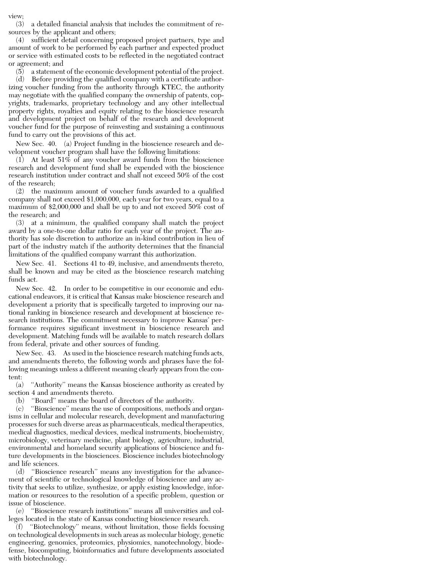view;

(3) a detailed financial analysis that includes the commitment of resources by the applicant and others;

(4) sufficient detail concerning proposed project partners, type and amount of work to be performed by each partner and expected product or service with estimated costs to be reflected in the negotiated contract or agreement; and

(5) a statement of the economic development potential of the project.

(d) Before providing the qualified company with a certificate authorizing voucher funding from the authority through KTEC, the authority may negotiate with the qualified company the ownership of patents, copyrights, trademarks, proprietary technology and any other intellectual property rights, royalties and equity relating to the bioscience research and development project on behalf of the research and development voucher fund for the purpose of reinvesting and sustaining a continuous fund to carry out the provisions of this act.

New Sec. 40. (a) Project funding in the bioscience research and development voucher program shall have the following limitations:

 $(1)$  At least 51% of any voucher award funds from the bioscience research and development fund shall be expended with the bioscience research institution under contract and shall not exceed 50% of the cost of the research;

(2) the maximum amount of voucher funds awarded to a qualified company shall not exceed \$1,000,000, each year for two years, equal to a maximum of \$2,000,000 and shall be up to and not exceed 50% cost of the research; and

(3) at a minimum, the qualified company shall match the project award by a one-to-one dollar ratio for each year of the project. The authority has sole discretion to authorize an in-kind contribution in lieu of part of the industry match if the authority determines that the financial limitations of the qualified company warrant this authorization.

New Sec. 41. Sections 41 to 49, inclusive, and amendments thereto, shall be known and may be cited as the bioscience research matching funds act.

New Sec. 42. In order to be competitive in our economic and educational endeavors, it is critical that Kansas make bioscience research and development a priority that is specifically targeted to improving our national ranking in bioscience research and development at bioscience research institutions. The commitment necessary to improve Kansas' performance requires significant investment in bioscience research and development. Matching funds will be available to match research dollars from federal, private and other sources of funding.

New Sec. 43. As used in the bioscience research matching funds acts, and amendments thereto, the following words and phrases have the following meanings unless a different meaning clearly appears from the content:

(a) ''Authority'' means the Kansas bioscience authority as created by section 4 and amendments thereto.

(b) ''Board'' means the board of directors of the authority.

(c) ''Bioscience'' means the use of compositions, methods and organisms in cellular and molecular research, development and manufacturing processes for such diverse areas as pharmaceuticals, medical therapeutics, medical diagnostics, medical devices, medical instruments, biochemistry, microbiology, veterinary medicine, plant biology, agriculture, industrial, environmental and homeland security applications of bioscience and future developments in the biosciences. Bioscience includes biotechnology and life sciences.

(d) ''Bioscience research'' means any investigation for the advancement of scientific or technological knowledge of bioscience and any activity that seeks to utilize, synthesize, or apply existing knowledge, information or resources to the resolution of a specific problem, question or issue of bioscience.

(e) ''Bioscience research institutions'' means all universities and colleges located in the state of Kansas conducting bioscience research.

(f) ''Biotechnology'' means, without limitation, those fields focusing on technological developments in such areas as molecular biology, genetic engineering, genomics, proteomics, physiomics, nanotechnology, biodefense, biocomputing, bioinformatics and future developments associated with biotechnology.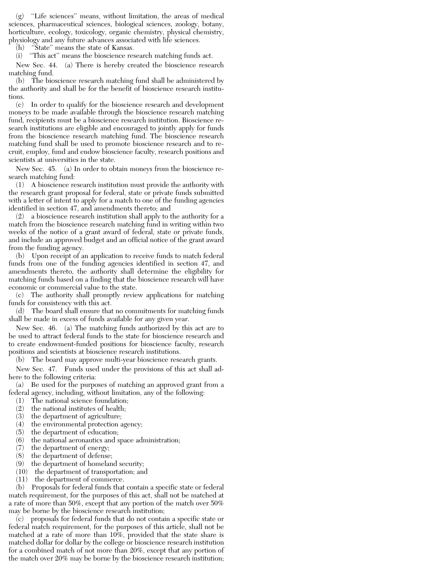(g) ''Life sciences'' means, without limitation, the areas of medical sciences, pharmaceutical sciences, biological sciences, zoology, botany, horticulture, ecology, toxicology, organic chemistry, physical chemistry, physiology and any future advances associated with life sciences.

(h) ''State'' means the state of Kansas.

(i) ''This act'' means the bioscience research matching funds act.

New Sec. 44. (a) There is hereby created the bioscience research matching fund.

(b) The bioscience research matching fund shall be administered by the authority and shall be for the benefit of bioscience research institutions.

(c) In order to qualify for the bioscience research and development moneys to be made available through the bioscience research matching fund, recipients must be a bioscience research institution. Bioscience research institutions are eligible and encouraged to jointly apply for funds from the bioscience research matching fund. The bioscience research matching fund shall be used to promote bioscience research and to recruit, employ, fund and endow bioscience faculty, research positions and scientists at universities in the state.

New Sec. 45. (a) In order to obtain moneys from the bioscience research matching fund:

(1) A bioscience research institution must provide the authority with the research grant proposal for federal, state or private funds submitted with a letter of intent to apply for a match to one of the funding agencies identified in section 47, and amendments thereto; and

(2) a bioscience research institution shall apply to the authority for a match from the bioscience research matching fund in writing within two weeks of the notice of a grant award of federal, state or private funds, and include an approved budget and an official notice of the grant award from the funding agency.

(b) Upon receipt of an application to receive funds to match federal funds from one of the funding agencies identified in section 47, and amendments thereto, the authority shall determine the eligibility for matching funds based on a finding that the bioscience research will have economic or commercial value to the state.

(c) The authority shall promptly review applications for matching funds for consistency with this act.

(d) The board shall ensure that no commitments for matching funds shall be made in excess of funds available for any given year.

New Sec. 46. (a) The matching funds authorized by this act are to be used to attract federal funds to the state for bioscience research and to create endowment-funded positions for bioscience faculty, research positions and scientists at bioscience research institutions.

(b) The board may approve multi-year bioscience research grants.

New Sec. 47. Funds used under the provisions of this act shall adhere to the following criteria:

(a) Be used for the purposes of matching an approved grant from a federal agency, including, without limitation, any of the following:

- (1) The national science foundation;
- (2) the national institutes of health;
- (3) the department of agriculture;
- (4) the environmental protection agency;
- (5) the department of education;
- (6) the national aeronautics and space administration;
- (7) the department of energy;
- (8) the department of defense;
- (9) the department of homeland security;
- (10) the department of transportation; and
- (11) the department of commerce.

(b) Proposals for federal funds that contain a specific state or federal match requirement, for the purposes of this act, shall not be matched at a rate of more than 50%, except that any portion of the match over 50% may be borne by the bioscience research institution;

(c) proposals for federal funds that do not contain a specific state or federal match requirement, for the purposes of this article, shall not be matched at a rate of more than 10%, provided that the state share is matched dollar for dollar by the college or bioscience research institution for a combined match of not more than 20%, except that any portion of the match over 20% may be borne by the bioscience research institution;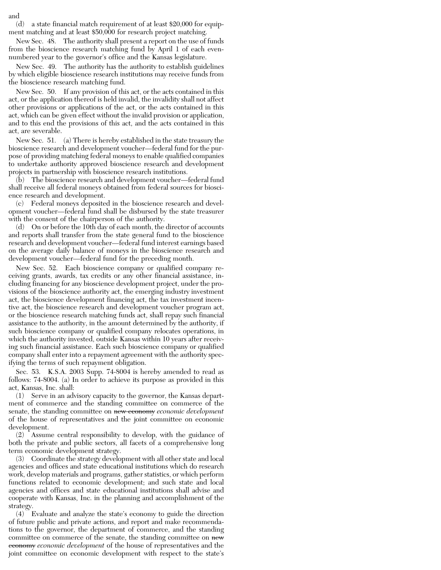(d) a state financial match requirement of at least \$20,000 for equipment matching and at least \$50,000 for research project matching.

New Sec. 48. The authority shall present a report on the use of funds from the bioscience research matching fund by April 1 of each evennumbered year to the governor's office and the Kansas legislature.

New Sec. 49. The authority has the authority to establish guidelines by which eligible bioscience research institutions may receive funds from the bioscience research matching fund.

New Sec. 50. If any provision of this act, or the acts contained in this act, or the application thereof is held invalid, the invalidity shall not affect other provisions or applications of the act, or the acts contained in this act, which can be given effect without the invalid provision or application, and to this end the provisions of this act, and the acts contained in this act, are severable.

New Sec. 51. (a) There is hereby established in the state treasury the bioscience research and development voucher—federal fund for the purpose of providing matching federal moneys to enable qualified companies to undertake authority approved bioscience research and development projects in partnership with bioscience research institutions.

(b) The bioscience research and development voucher—federal fund shall receive all federal moneys obtained from federal sources for bioscience research and development.

(c) Federal moneys deposited in the bioscience research and development voucher—federal fund shall be disbursed by the state treasurer with the consent of the chairperson of the authority.

(d) On or before the 10th day of each month, the director of accounts and reports shall transfer from the state general fund to the bioscience research and development voucher—federal fund interest earnings based on the average daily balance of moneys in the bioscience research and development voucher—federal fund for the preceding month.

New Sec. 52. Each bioscience company or qualified company receiving grants, awards, tax credits or any other financial assistance, including financing for any bioscience development project, under the provisions of the bioscience authority act, the emerging industry investment act, the bioscience development financing act, the tax investment incentive act, the bioscience research and development voucher program act, or the bioscience research matching funds act, shall repay such financial assistance to the authority, in the amount determined by the authority, if such bioscience company or qualified company relocates operations, in which the authority invested, outside Kansas within 10 years after receiving such financial assistance. Each such bioscience company or qualified company shall enter into a repayment agreement with the authority specifying the terms of such repayment obligation.

Sec. 53. K.S.A. 2003 Supp. 74-8004 is hereby amended to read as follows: 74-8004. (a) In order to achieve its purpose as provided in this act, Kansas, Inc. shall:

(1) Serve in an advisory capacity to the governor, the Kansas department of commerce and the standing committee on commerce of the senate, the standing committee on new economy *economic development* of the house of representatives and the joint committee on economic development.

(2) Assume central responsibility to develop, with the guidance of both the private and public sectors, all facets of a comprehensive long term economic development strategy.

(3) Coordinate the strategy development with all other state and local agencies and offices and state educational institutions which do research work, develop materials and programs, gather statistics, or which perform functions related to economic development; and such state and local agencies and offices and state educational institutions shall advise and cooperate with Kansas, Inc. in the planning and accomplishment of the strategy.

(4) Evaluate and analyze the state's economy to guide the direction of future public and private actions, and report and make recommendations to the governor, the department of commerce, and the standing committee on commerce of the senate, the standing committee on new economy *economic development* of the house of representatives and the joint committee on economic development with respect to the state's

and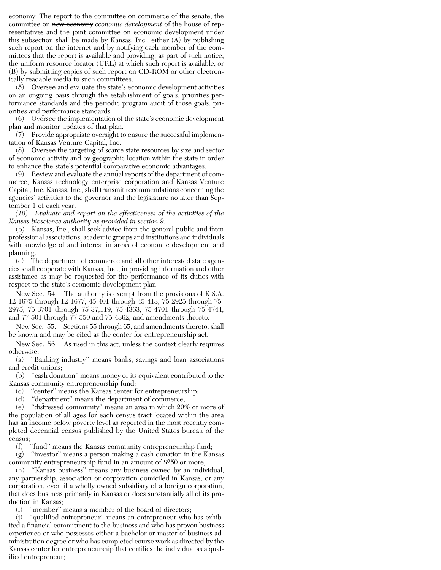economy. The report to the committee on commerce of the senate, the committee on new economy *economic development* of the house of representatives and the joint committee on economic development under this subsection shall be made by Kansas, Inc., either  $(A)$  by publishing such report on the internet and by notifying each member of the committees that the report is available and providing, as part of such notice, the uniform resource locator (URL) at which such report is available, or (B) by submitting copies of such report on CD-ROM or other electronically readable media to such committees.

(5) Oversee and evaluate the state's economic development activities on an ongoing basis through the establishment of goals, priorities performance standards and the periodic program audit of those goals, priorities and performance standards.

(6) Oversee the implementation of the state's economic development plan and monitor updates of that plan.

(7) Provide appropriate oversight to ensure the successful implementation of Kansas Venture Capital, Inc.

(8) Oversee the targeting of scarce state resources by size and sector of economic activity and by geographic location within the state in order to enhance the state's potential comparative economic advantages.

(9) Review and evaluate the annual reports of the department of commerce, Kansas technology enterprise corporation and Kansas Venture Capital, Inc. Kansas, Inc., shall transmit recommendations concerning the agencies' activities to the governor and the legislature no later than September 1 of each year.

*(10) Evaluate and report on the effectiveness of the activities of the Kansas bioscience authority as provided in section 9.*

(b) Kansas, Inc., shall seek advice from the general public and from professional associations, academic groups and institutions and individuals with knowledge of and interest in areas of economic development and planning.

(c) The department of commerce and all other interested state agencies shall cooperate with Kansas, Inc., in providing information and other assistance as may be requested for the performance of its duties with respect to the state's economic development plan.

New Sec. 54. The authority is exempt from the provisions of K.S.A. 12-1675 through 12-1677, 45-401 through 45-413, 75-2925 through 75- 2975, 75-3701 through 75-37,119, 75-4363, 75-4701 through 75-4744, and 77-501 through 77-550 and 75-4362, and amendments thereto.

New Sec. 55. Sections 55 through 65, and amendments thereto, shall be known and may be cited as the center for entrepreneurship act.

New Sec. 56. As used in this act, unless the context clearly requires otherwise:

(a) ''Banking industry'' means banks, savings and loan associations and credit unions;

(b) ''cash donation'' means money or its equivalent contributed to the Kansas community entrepreneurship fund;

(c) ''center'' means the Kansas center for entrepreneurship;

(d) ''department'' means the department of commerce;

(e) ''distressed community'' means an area in which 20% or more of the population of all ages for each census tract located within the area has an income below poverty level as reported in the most recently completed decennial census published by the United States bureau of the census;<br>(f)

"fund" means the Kansas community entrepreneurship fund;

(g) ''investor'' means a person making a cash donation in the Kansas community entrepreneurship fund in an amount of \$250 or more;

(h) ''Kansas business'' means any business owned by an individual, any partnership, association or corporation domiciled in Kansas, or any corporation, even if a wholly owned subsidiary of a foreign corporation, that does business primarily in Kansas or does substantially all of its production in Kansas;

(i) ''member'' means a member of the board of directors;

(j) ''qualified entrepreneur'' means an entrepreneur who has exhibited a financial commitment to the business and who has proven business experience or who possesses either a bachelor or master of business administration degree or who has completed course work as directed by the Kansas center for entrepreneurship that certifies the individual as a qualified entrepreneur;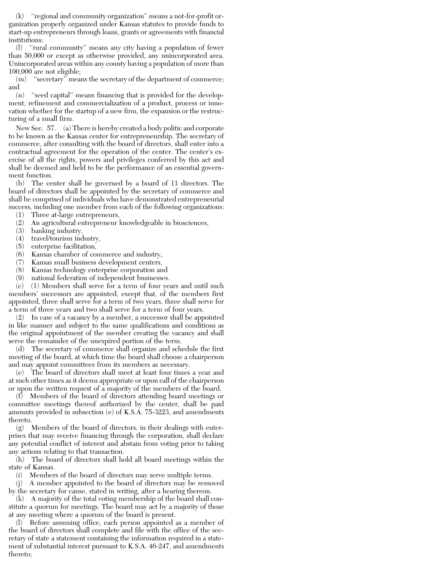(k) ''regional and community organization'' means a not-for-profit organization properly organized under Kansas statutes to provide funds to start-up entrepreneurs through loans, grants or agreements with financial institutions;

(l) ''rural community'' means any city having a population of fewer than 50,000 or except as otherwise provided, any unincorporated area. Unincorporated areas within any county having a population of more than 100,000 are not eligible;

 $(m)$  "secretary" means the secretary of the department of commerce; and

(n) ''seed capital'' means financing that is provided for the development, refinement and commercialization of a product, process or innovation whether for the startup of a new firm, the expansion or the restructuring of a small firm.

New Sec. 57. (a) There is hereby created a body politic and corporate to be known as the Kansas center for entrepreneurship. The secretary of commerce, after consulting with the board of directors, shall enter into a contractual agreement for the operation of the center. The center's exercise of all the rights, powers and privileges conferred by this act and shall be deemed and held to be the performance of an essential government function.

(b) The center shall be governed by a board of 11 directors. The board of directors shall be appointed by the secretary of commerce and shall be comprised of individuals who have demonstrated entrepreneurial success, including one member from each of the following organizations:

(1) Three at-large entrepreneurs,

- (2) An agricultural entrepreneur knowledgeable in biosciences,
- (3) banking industry,
- (4) travel/tourism industry,
- (5) enterprise facilitation,
- (6) Kansas chamber of commerce and industry,
- (7) Kansas small business development centers,
- (8) Kansas technology enterprise corporation and
- (9) national federation of independent businesses.

(c) (1) Members shall serve for a term of four years and until such members' successors are appointed, except that, of the members first appointed, three shall serve for a term of two years, three shall serve for a term of three years and two shall serve for a term of four years.

(2) In case of a vacancy by a member, a successor shall be appointed in like manner and subject to the same qualifications and conditions as the original appointment of the member creating the vacancy and shall serve the remainder of the unexpired portion of the term.

(d) The secretary of commerce shall organize and schedule the first meeting of the board, at which time the board shall choose a chairperson and may appoint committees from its members as necessary.

(e) The board of directors shall meet at least four times a year and at such other times as it deems appropriate or upon call of the chairperson or upon the written request of a majority of the members of the board.

(f) Members of the board of directors attending board meetings or committee meetings thereof authorized by the center, shall be paid amounts provided in subsection (e) of K.S.A. 75-3223, and amendments thereto.

(g) Members of the board of directors, in their dealings with enterprises that may receive financing through the corporation, shall declare any potential conflict of interest and abstain from voting prior to taking any actions relating to that transaction.

(h) The board of directors shall hold all board meetings within the state of Kansas.

(i) Members of the board of directors may serve multiple terms.

(j) A member appointed to the board of directors may be removed by the secretary for cause, stated in writing, after a hearing thereon.

(k) A majority of the total voting membership of the board shall constitute a quorum for meetings. The board may act by a majority of those at any meeting where a quorum of the board is present.

(l) Before assuming office, each person appointed as a member of the board of directors shall complete and file with the office of the secretary of state a statement containing the information required in a statement of substantial interest pursuant to K.S.A. 46-247, and amendments thereto;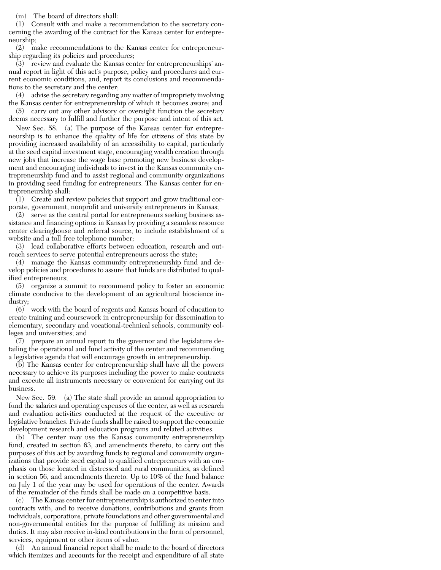(m) The board of directors shall:

(1) Consult with and make a recommendation to the secretary concerning the awarding of the contract for the Kansas center for entrepreneurship;

(2) make recommendations to the Kansas center for entrepreneurship regarding its policies and procedures;

 $(3)$  review and evaluate the Kansas center for entrepreneurships' annual report in light of this act's purpose, policy and procedures and current economic conditions, and, report its conclusions and recommendations to the secretary and the center;

(4) advise the secretary regarding any matter of impropriety involving the Kansas center for entrepreneurship of which it becomes aware; and

(5) carry out any other advisory or oversight function the secretary deems necessary to fulfill and further the purpose and intent of this act.

New Sec. 58. (a) The purpose of the Kansas center for entrepreneurship is to enhance the quality of life for citizens of this state by providing increased availability of an accessibility to capital, particularly at the seed capital investment stage, encouraging wealth creation through new jobs that increase the wage base promoting new business development and encouraging individuals to invest in the Kansas community entrepreneurship fund and to assist regional and community organizations in providing seed funding for entrepreneurs. The Kansas center for entrepreneurship shall:

(1) Create and review policies that support and grow traditional corporate, government, nonprofit and university entrepreneurs in Kansas;

(2) serve as the central portal for entrepreneurs seeking business assistance and financing options in Kansas by providing a seamless resource center clearinghouse and referral source, to include establishment of a website and a toll free telephone number;

(3) lead collaborative efforts between education, research and outreach services to serve potential entrepreneurs across the state;

(4) manage the Kansas community entrepreneurship fund and develop policies and procedures to assure that funds are distributed to qualified entrepreneurs;

(5) organize a summit to recommend policy to foster an economic climate conducive to the development of an agricultural bioscience industry;

(6) work with the board of regents and Kansas board of education to create training and coursework in entrepreneurship for dissemination to elementary, secondary and vocational-technical schools, community colleges and universities; and

(7) prepare an annual report to the governor and the legislature detailing the operational and fund activity of the center and recommending a legislative agenda that will encourage growth in entrepreneurship.

(b) The Kansas center for entrepreneurship shall have all the powers necessary to achieve its purposes including the power to make contracts and execute all instruments necessary or convenient for carrying out its business.

New Sec. 59. (a) The state shall provide an annual appropriation to fund the salaries and operating expenses of the center, as well as research and evaluation activities conducted at the request of the executive or legislative branches. Private funds shall be raised to support the economic development research and education programs and related activities.

(b) The center may use the Kansas community entrepreneurship fund, created in section 63, and amendments thereto, to carry out the purposes of this act by awarding funds to regional and community organizations that provide seed capital to qualified entrepreneurs with an emphasis on those located in distressed and rural communities, as defined in section 56, and amendments thereto. Up to 10% of the fund balance on July 1 of the year may be used for operations of the center. Awards of the remainder of the funds shall be made on a competitive basis.

(c) The Kansas center for entrepreneurship is authorized to enter into contracts with, and to receive donations, contributions and grants from individuals, corporations, private foundations and other governmental and non-governmental entities for the purpose of fulfilling its mission and duties. It may also receive in-kind contributions in the form of personnel, services, equipment or other items of value.

(d) An annual financial report shall be made to the board of directors which itemizes and accounts for the receipt and expenditure of all state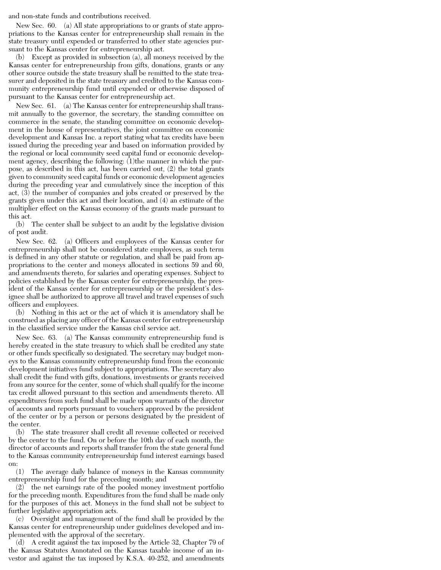and non-state funds and contributions received.

New Sec. 60. (a) All state appropriations to or grants of state appropriations to the Kansas center for entrepreneurship shall remain in the state treasury until expended or transferred to other state agencies pursuant to the Kansas center for entrepreneurship act.

(b) Except as provided in subsection (a), all moneys received by the Kansas center for entrepreneurship from gifts, donations, grants or any other source outside the state treasury shall be remitted to the state treasurer and deposited in the state treasury and credited to the Kansas community entrepreneurship fund until expended or otherwise disposed of pursuant to the Kansas center for entrepreneurship act.

New Sec. 61. (a) The Kansas center for entrepreneurship shall transmit annually to the governor, the secretary, the standing committee on commerce in the senate, the standing committee on economic development in the house of representatives, the joint committee on economic development and Kansas Inc. a report stating what tax credits have been issued during the preceding year and based on information provided by the regional or local community seed capital fund or economic development agency, describing the following: (1)the manner in which the purpose, as described in this act, has been carried out, (2) the total grants given to community seed capital funds or economic development agencies during the preceding year and cumulatively since the inception of this act, (3) the number of companies and jobs created or preserved by the grants given under this act and their location, and (4) an estimate of the multiplier effect on the Kansas economy of the grants made pursuant to this act.

(b) The center shall be subject to an audit by the legislative division of post audit.

New Sec. 62. (a) Officers and employees of the Kansas center for entrepreneurship shall not be considered state employees, as such term is defined in any other statute or regulation, and shall be paid from appropriations to the center and moneys allocated in sections 59 and 60, and amendments thereto, for salaries and operating expenses. Subject to policies established by the Kansas center for entrepreneurship, the president of the Kansas center for entrepreneurship or the president's designee shall be authorized to approve all travel and travel expenses of such officers and employees.

(b) Nothing in this act or the act of which it is amendatory shall be construed as placing any officer of the Kansas center for entrepreneurship in the classified service under the Kansas civil service act.

New Sec. 63. (a) The Kansas community entrepreneurship fund is hereby created in the state treasury to which shall be credited any state or other funds specifically so designated. The secretary may budget moneys to the Kansas community entrepreneurship fund from the economic development initiatives fund subject to appropriations. The secretary also shall credit the fund with gifts, donations, investments or grants received from any source for the center, some of which shall qualify for the income tax credit allowed pursuant to this section and amendments thereto. All expenditures from such fund shall be made upon warrants of the director of accounts and reports pursuant to vouchers approved by the president of the center or by a person or persons designated by the president of the center.

(b) The state treasurer shall credit all revenue collected or received by the center to the fund. On or before the 10th day of each month, the director of accounts and reports shall transfer from the state general fund to the Kansas community entrepreneurship fund interest earnings based on:

(1) The average daily balance of moneys in the Kansas community entrepreneurship fund for the preceding month; and

(2) the net earnings rate of the pooled money investment portfolio for the preceding month. Expenditures from the fund shall be made only for the purposes of this act. Moneys in the fund shall not be subject to further legislative appropriation acts.

(c) Oversight and management of the fund shall be provided by the Kansas center for entrepreneurship under guidelines developed and implemented with the approval of the secretary.

(d) A credit against the tax imposed by the Article 32, Chapter 79 of the Kansas Statutes Annotated on the Kansas taxable income of an investor and against the tax imposed by K.S.A. 40-252, and amendments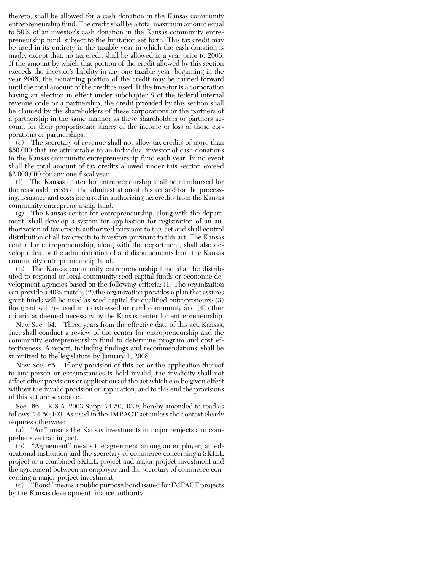thereto, shall be allowed for a cash donation in the Kansas community entrepreneurship fund. The credit shall be a total maximum amount equal to 50% of an investor's cash donation in the Kansas community entrepreneurship fund, subject to the limitation set forth. This tax credit may be used in its entirety in the taxable year in which the cash donation is made, except that, no tax credit shall be allowed in a year prior to 2006. If the amount by which that portion of the credit allowed by this section exceeds the investor's liability in any one taxable year, beginning in the year 2006, the remaining portion of the credit may be carried forward until the total amount of the credit is used. If the investor is a corporation having an election in effect under subchapter S of the federal internal revenue code or a partnership, the credit provided by this section shall be claimed by the shareholders of these corporations or the partners of a partnership in the same manner as these shareholders or partners account for their proportionate shares of the income or loss of these corporations or partnerships.

(e) The secretary of revenue shall not allow tax credits of more than \$50,000 that are attributable to an individual investor of cash donations in the Kansas community entrepreneurship fund each year. In no event shall the total amount of tax credits allowed under this section exceed \$2,000,000 for any one fiscal year.

(f) The Kansas center for entrepreneurship shall be reimbursed for the reasonable costs of the administration of this act and for the processing, issuance and costs incurred in authorizing tax credits from the Kansas community entrepreneurship fund.

(g) The Kansas center for entrepreneurship, along with the department, shall develop a system for application for registration of an authorization of tax credits authorized pursuant to this act and shall control distribution of all tax credits to investors pursuant to this act. The Kansas center for entrepreneurship, along with the department, shall also develop rules for the administration of and disbursements from the Kansas community entrepreneurship fund.

(h) The Kansas community entrepreneurship fund shall be distributed to regional or local community seed capital funds or economic development agencies based on the following criteria: (1) The organization can provide a 40% match; (2) the organization provides a plan that assures grant funds will be used as seed capital for qualified entrepreneurs; (3) the grant will be used in a distressed or rural community and (4) other criteria as deemed necessary by the Kansas center for entrepreneurship.

New Sec. 64. Three years from the effective date of this act, Kansas, Inc. shall conduct a review of the center for entrepreneurship and the community entrepreneurship fund to determine program and cost effectiveness. A report, including findings and recommendations, shall be submitted to the legislature by January 1, 2008.

New Sec. 65. If any provision of this act or the application thereof to any person or circumstances is held invalid, the invalidity shall not affect other provisions or applications of the act which can be given effect without the invalid provision or application, and to this end the provisions of this act are severable.

Sec. 66. K.S.A. 2003 Supp. 74-50,103 is hereby amended to read as follows: 74-50,103. As used in the IMPACT act unless the context clearly requires otherwise:

 $\bar{a}$  "Act" means the Kansas investments in major projects and comprehensive training act.

(b) ''Agreement'' means the agreement among an employer, an educational institution and the secretary of commerce concerning a SKILL project or a combined SKILL project and major project investment and the agreement between an employer and the secretary of commerce concerning a major project investment.

(c) ''Bond'' means a public purpose bond issued for IMPACT projects by the Kansas development finance authority.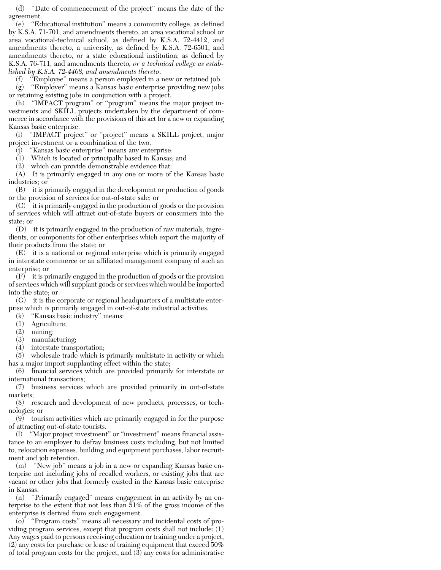(d) ''Date of commencement of the project'' means the date of the agreement.

(e) ''Educational institution'' means a community college, as defined by K.S.A. 71-701, and amendments thereto, an area vocational school or area vocational-technical school, as defined by K.S.A. 72-4412, and amendments thereto, a university, as defined by K.S.A. 72-6501, and amendments thereto,  $\theta$  a state educational institution, as defined by K.S.A. 76-711, and amendments thereto*, or a technical college as established by K.S.A. 72-4468, and amendments thereto*.

(f) ''Employee'' means a person employed in a new or retained job. (g) ''Employer'' means a Kansas basic enterprise providing new jobs or retaining existing jobs in conjunction with a project.

(h) ''IMPACT program'' or ''program'' means the major project investments and SKILL projects undertaken by the department of commerce in accordance with the provisions of this act for a new or expanding Kansas basic enterprise.

(i) ''IMPACT project'' or ''project'' means a SKILL project, major project investment or a combination of the two.

"Kansas basic enterprise" means any enterprise:

(1) Which is located or principally based in Kansas; and

(2) which can provide demonstrable evidence that:

(A) It is primarily engaged in any one or more of the Kansas basic industries; or

(B) it is primarily engaged in the development or production of goods or the provision of services for out-of-state sale; or

(C) it is primarily engaged in the production of goods or the provision of services which will attract out-of-state buyers or consumers into the state; or

(D) it is primarily engaged in the production of raw materials, ingredients, or components for other enterprises which export the majority of their products from the state; or

(E) it is a national or regional enterprise which is primarily engaged in interstate commerce or an affiliated management company of such an enterprise; or

(F) it is primarily engaged in the production of goods or the provision of services which will supplant goods or services which would be imported into the state; or

(G) it is the corporate or regional headquarters of a multistate enterprise which is primarily engaged in out-of-state industrial activities.

(k) ''Kansas basic industry'' means:

- (1) Agriculture;
- (2) mining;
- (3) manufacturing;

(4) interstate transportation;

(5) wholesale trade which is primarily multistate in activity or which has a major import supplanting effect within the state;

(6) financial services which are provided primarily for interstate or international transactions;

(7) business services which are provided primarily in out-of-state markets;

(8) research and development of new products, processes, or technologies; or

(9) tourism activities which are primarily engaged in for the purpose of attracting out-of-state tourists.

(l) ''Major project investment'' or ''investment'' means financial assistance to an employer to defray business costs including, but not limited to, relocation expenses, building and equipment purchases, labor recruitment and job retention.

(m) ''New job'' means a job in a new or expanding Kansas basic enterprise not including jobs of recalled workers, or existing jobs that are vacant or other jobs that formerly existed in the Kansas basic enterprise in Kansas.

(n) ''Primarily engaged'' means engagement in an activity by an enterprise to the extent that not less than 51% of the gross income of the enterprise is derived from such engagement.

(o) ''Program costs'' means all necessary and incidental costs of providing program services, except that program costs shall not include: (1) Any wages paid to persons receiving education or training under a project, (2) any costs for purchase or lease of training equipment that exceed 50% of total program costs for the project,  $\frac{and}{3}$  any costs for administrative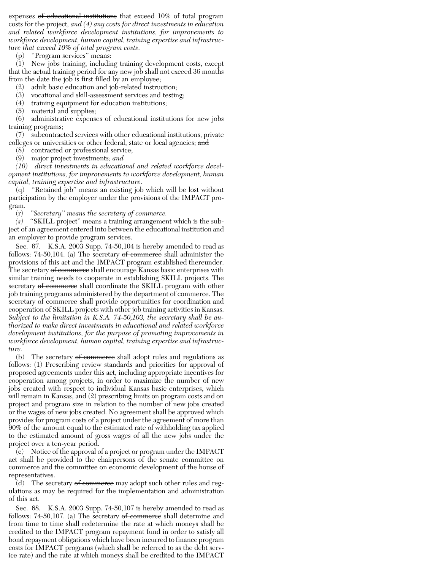expenses of educational institutions that exceed 10% of total program costs for the project*, and (4) any costs for direct investments in education and related workforce development institutions, for improvements to workforce development, human capital, training expertise and infrastructure that exceed 10% of total program costs*.

"Program services" means:

(1) New jobs training, including training development costs, except that the actual training period for any new job shall not exceed 36 months from the date the job is first filled by an employee;

(2) adult basic education and job-related instruction;

(3) vocational and skill-assessment services and testing;

(4) training equipment for education institutions;

(5) material and supplies;

(6) administrative expenses of educational institutions for new jobs training programs;

(7) subcontracted services with other educational institutions, private colleges or universities or other federal, state or local agencies; and

(8) contracted or professional service;

(9) major project investments*; and*

*(10) direct investments in educational and related workforce development institutions, for improvements to workforce development, human capital, training expertise and infrastructure*.

(q) ''Retained job'' means an existing job which will be lost without participation by the employer under the provisions of the IMPACT program.

(r) *''Secretary'' means the secretary of commerce.*

*(s)* ''SKILL project'' means a training arrangement which is the subject of an agreement entered into between the educational institution and an employer to provide program services.

Sec. 67. K.S.A. 2003 Supp. 74-50,104 is hereby amended to read as follows: 74-50,104. (a) The secretary of commerce shall administer the provisions of this act and the IMPACT program established thereunder. The secretary of commerce shall encourage Kansas basic enterprises with similar training needs to cooperate in establishing SKILL projects. The secretary of commerce shall coordinate the SKILL program with other job training programs administered by the department of commerce. The secretary of commerce shall provide opportunities for coordination and cooperation of SKILL projects with other job training activities in Kansas. *Subject to the limitation in K.S.A. 74-50,103, the secretary shall be authorized to make direct investments in educational and related workforce development institutions, for the purpose of promoting improvements in workforce development, human capital, training expertise and infrastructure.*

(b) The secretary  $\theta$  commerce shall adopt rules and regulations as follows: (1) Prescribing review standards and priorities for approval of proposed agreements under this act, including appropriate incentives for cooperation among projects, in order to maximize the number of new jobs created with respect to individual Kansas basic enterprises, which will remain in Kansas, and (2) prescribing limits on program costs and on project and program size in relation to the number of new jobs created or the wages of new jobs created. No agreement shall be approved which provides for program costs of a project under the agreement of more than 90% of the amount equal to the estimated rate of withholding tax applied to the estimated amount of gross wages of all the new jobs under the project over a ten-year period.

(c) Notice of the approval of a project or program under the IMPACT act shall be provided to the chairpersons of the senate committee on commerce and the committee on economic development of the house of representatives.

(d) The secretary of commerce may adopt such other rules and regulations as may be required for the implementation and administration of this act.

Sec. 68. K.S.A. 2003 Supp. 74-50,107 is hereby amended to read as follows: 74-50,107. (a) The secretary of commerce shall determine and from time to time shall redetermine the rate at which moneys shall be credited to the IMPACT program repayment fund in order to satisfy all bond repayment obligations which have been incurred to finance program costs for IMPACT programs (which shall be referred to as the debt service rate) and the rate at which moneys shall be credited to the IMPACT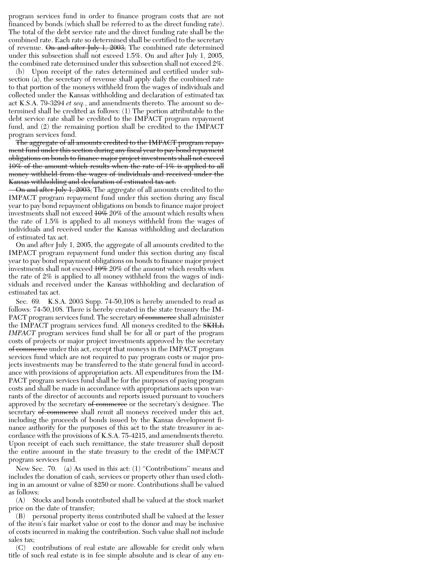program services fund in order to finance program costs that are not financed by bonds (which shall be referred to as the direct funding rate). The total of the debt service rate and the direct funding rate shall be the combined rate. Each rate so determined shall be certified to the secretary of revenue. On and after July 1, 2003, The combined rate determined under this subsection shall not exceed 1.5%. On and after July 1, 2005, the combined rate determined under this subsection shall not exceed 2%.

(b) Upon receipt of the rates determined and certified under subsection (a), the secretary of revenue shall apply daily the combined rate to that portion of the moneys withheld from the wages of individuals and collected under the Kansas withholding and declaration of estimated tax act K.S.A. 79-3294 *et seq.*, and amendments thereto. The amount so determined shall be credited as follows: (1) The portion attributable to the debt service rate shall be credited to the IMPACT program repayment fund, and (2) the remaining portion shall be credited to the IMPACT program services fund.

The aggregate of all amounts credited to the IMPACT program repayment fund under this section during any fiscal year to pay bond repayment obligations on bonds to finance major project investments shall not exceed 10% of the amount which results when the rate of 1% is applied to all money withheld from the wages of individuals and received under the Kansas withholding and declaration of estimated tax act.

On and after July 1, 2003, The aggregate of all amounts credited to the IMPACT program repayment fund under this section during any fiscal year to pay bond repayment obligations on bonds to finance major project investments shall not exceed 10% *20%* of the amount which results when the rate of 1.5% is applied to all moneys withheld from the wages of individuals and received under the Kansas withholding and declaration of estimated tax act.

On and after July 1, 2005, the aggregate of all amounts credited to the IMPACT program repayment fund under this section during any fiscal year to pay bond repayment obligations on bonds to finance major project investments shall not exceed 10% *20%* of the amount which results when the rate of 2% is applied to all money withheld from the wages of individuals and received under the Kansas withholding and declaration of estimated tax act.

Sec. 69. K.S.A. 2003 Supp. 74-50,108 is hereby amended to read as follows: 74-50,108. There is hereby created in the state treasury the IM-PACT program services fund. The secretary of commerce shall administer the IMPACT program services fund. All moneys credited to the **SKILL** *IMPACT* program services fund shall be for all or part of the program costs of projects or major project investments approved by the secretary of commerce under this act, except that moneys in the IMPACT program services fund which are not required to pay program costs or major projects investments may be transferred to the state general fund in accordance with provisions of appropriation acts. All expenditures from the IM-PACT program services fund shall be for the purposes of paying program costs and shall be made in accordance with appropriations acts upon warrants of the director of accounts and reports issued pursuant to vouchers approved by the secretary of commerce or the secretary's designee. The secretary of commerce shall remit all moneys received under this act, including the proceeds of bonds issued by the Kansas development finance authority for the purposes of this act to the state treasurer in accordance with the provisions of K.S.A. 75-4215, and amendments thereto. Upon receipt of each such remittance, the state treasurer shall deposit the entire amount in the state treasury to the credit of the IMPACT program services fund.

New Sec. 70. (a) As used in this act: (1) ''Contributions'' means and includes the donation of cash, services or property other than used clothing in an amount or value of \$250 or more. Contributions shall be valued as follows:

(A) Stocks and bonds contributed shall be valued at the stock market price on the date of transfer;

(B) personal property items contributed shall be valued at the lesser of the item's fair market value or cost to the donor and may be inclusive of costs incurred in making the contribution. Such value shall not include sales tax;

(C) contributions of real estate are allowable for credit only when title of such real estate is in fee simple absolute and is clear of any en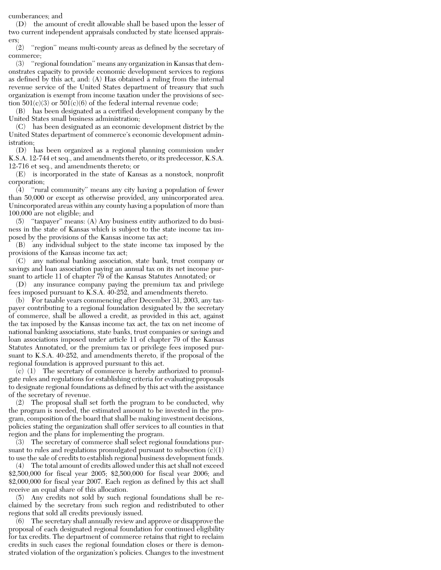cumberances; and

(D) the amount of credit allowable shall be based upon the lesser of two current independent appraisals conducted by state licensed appraisers;

(2) ''region'' means multi-county areas as defined by the secretary of commerce;

(3) ''regional foundation'' means any organization in Kansas that demonstrates capacity to provide economic development services to regions as defined by this act, and: (A) Has obtained a ruling from the internal revenue service of the United States department of treasury that such organization is exempt from income taxation under the provisions of section  $501(c)(3)$  or  $501(c)(6)$  of the federal internal revenue code;

(B) has been designated as a certified development company by the United States small business administration;

(C) has been designated as an economic development district by the United States department of commerce's economic development administration;

(D) has been organized as a regional planning commission under K.S.A. 12-744 et seq., and amendments thereto, or its predecessor, K.S.A. 12-716 et seq., and amendments thereto; or

(E) is incorporated in the state of Kansas as a nonstock, nonprofit corporation;

(4) ''rural community'' means any city having a population of fewer than 50,000 or except as otherwise provided, any unincorporated area. Unincorporated areas within any county having a population of more than 100,000 are not eligible; and

(5) ''taxpayer'' means: (A) Any business entity authorized to do business in the state of Kansas which is subject to the state income tax imposed by the provisions of the Kansas income tax act;

(B) any individual subject to the state income tax imposed by the provisions of the Kansas income tax act;

(C) any national banking association, state bank, trust company or savings and loan association paying an annual tax on its net income pursuant to article 11 of chapter 79 of the Kansas Statutes Annotated; or

(D) any insurance company paying the premium tax and privilege fees imposed pursuant to K.S.A. 40-252, and amendments thereto.

(b) For taxable years commencing after December 31, 2003, any taxpayer contributing to a regional foundation designated by the secretary of commerce, shall be allowed a credit, as provided in this act, against the tax imposed by the Kansas income tax act, the tax on net income of national banking associations, state banks, trust companies or savings and loan associations imposed under article 11 of chapter 79 of the Kansas Statutes Annotated, or the premium tax or privilege fees imposed pursuant to K.S.A. 40-252, and amendments thereto, if the proposal of the regional foundation is approved pursuant to this act.

(c) (1) The secretary of commerce is hereby authorized to promulgate rules and regulations for establishing criteria for evaluating proposals to designate regional foundations as defined by this act with the assistance of the secretary of revenue.

(2) The proposal shall set forth the program to be conducted, why the program is needed, the estimated amount to be invested in the program, composition of the board that shall be making investment decisions, policies stating the organization shall offer services to all counties in that region and the plans for implementing the program.

(3) The secretary of commerce shall select regional foundations pursuant to rules and regulations promulgated pursuant to subsection  $(c)(1)$ to use the sale of credits to establish regional business development funds.

(4) The total amount of credits allowed under this act shall not exceed \$2,500,000 for fiscal year 2005; \$2,500,000 for fiscal year 2006; and \$2,000,000 for fiscal year 2007. Each region as defined by this act shall receive an equal share of this allocation.

(5) Any credits not sold by such regional foundations shall be reclaimed by the secretary from such region and redistributed to other regions that sold all credits previously issued.

(6) The secretary shall annually review and approve or disapprove the proposal of each designated regional foundation for continued eligibility for tax credits. The department of commerce retains that right to reclaim credits in such cases the regional foundation closes or there is demonstrated violation of the organization's policies. Changes to the investment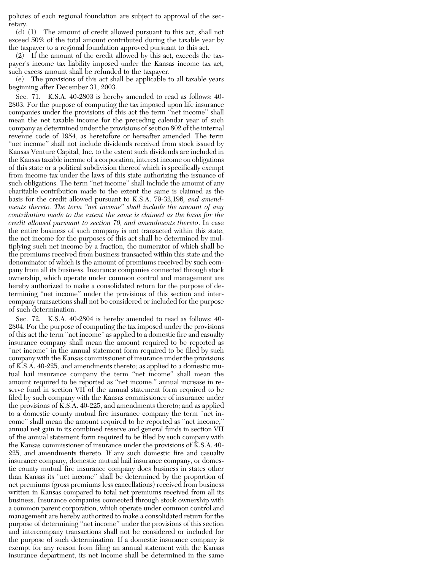policies of each regional foundation are subject to approval of the secretary.

(d) (1) The amount of credit allowed pursuant to this act, shall not exceed 50% of the total amount contributed during the taxable year by the taxpayer to a regional foundation approved pursuant to this act.

(2) If the amount of the credit allowed by this act, exceeds the taxpayer's income tax liability imposed under the Kansas income tax act, such excess amount shall be refunded to the taxpayer.

(e) The provisions of this act shall be applicable to all taxable years beginning after December 31, 2003.

Sec. 71. K.S.A. 40-2803 is hereby amended to read as follows: 40- 2803. For the purpose of computing the tax imposed upon life insurance companies under the provisions of this act the term ''net income'' shall mean the net taxable income for the preceding calendar year of such company as determined under the provisions of section 802 of the internal revenue code of 1954, as heretofore or hereafter amended. The term ''net income'' shall not include dividends received from stock issued by Kansas Venture Capital, Inc. to the extent such dividends are included in the Kansas taxable income of a corporation, interest income on obligations of this state or a political subdivision thereof which is specifically exempt from income tax under the laws of this state authorizing the issuance of such obligations. The term "net income" shall include the amount of any charitable contribution made to the extent the same is claimed as the basis for the credit allowed pursuant to K.S.A. 79-32,196*, and amendments thereto. The term ''net income'' shall include the amount of any contribution made to the extent the same is claimed as the basis for the credit allowed pursuant to section 70, and amendments thereto*. In case the entire business of such company is not transacted within this state, the net income for the purposes of this act shall be determined by multiplying such net income by a fraction, the numerator of which shall be the premiums received from business transacted within this state and the denominator of which is the amount of premiums received by such company from all its business. Insurance companies connected through stock ownership, which operate under common control and management are hereby authorized to make a consolidated return for the purpose of determining ''net income'' under the provisions of this section and intercompany transactions shall not be considered or included for the purpose of such determination.

Sec. 72. K.S.A. 40-2804 is hereby amended to read as follows: 40- 2804. For the purpose of computing the tax imposed under the provisions of this act the term ''net income'' as applied to a domestic fire and casualty insurance company shall mean the amount required to be reported as "net income" in the annual statement form required to be filed by such company with the Kansas commissioner of insurance under the provisions of K.S.A. 40-225, and amendments thereto; as applied to a domestic mutual hail insurance company the term ''net income'' shall mean the amount required to be reported as ''net income,'' annual increase in reserve fund in section VII of the annual statement form required to be filed by such company with the Kansas commissioner of insurance under the provisions of K.S.A. 40-225, and amendments thereto; and as applied to a domestic county mutual fire insurance company the term ''net income'' shall mean the amount required to be reported as ''net income,'' annual net gain in its combined reserve and general funds in section VII of the annual statement form required to be filed by such company with the Kansas commissioner of insurance under the provisions of K.S.A. 40- 225, and amendments thereto. If any such domestic fire and casualty insurance company, domestic mutual hail insurance company, or domestic county mutual fire insurance company does business in states other than Kansas its ''net income'' shall be determined by the proportion of net premiums (gross premiums less cancellations) received from business written in Kansas compared to total net premiums received from all its business. Insurance companies connected through stock ownership with a common parent corporation, which operate under common control and management are hereby authorized to make a consolidated return for the purpose of determining ''net income'' under the provisions of this section and intercompany transactions shall not be considered or included for the purpose of such determination. If a domestic insurance company is exempt for any reason from filing an annual statement with the Kansas insurance department, its net income shall be determined in the same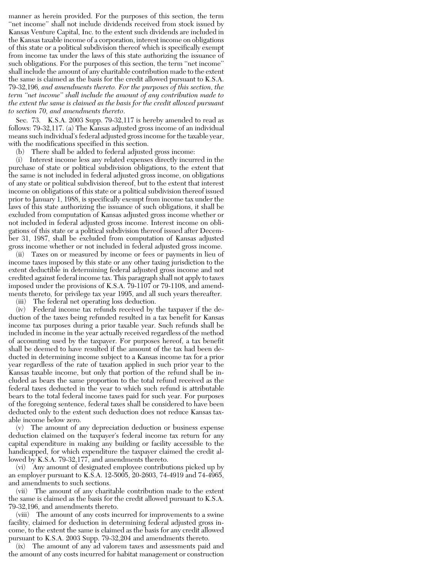manner as herein provided. For the purposes of this section, the term "net income" shall not include dividends received from stock issued by Kansas Venture Capital, Inc. to the extent such dividends are included in the Kansas taxable income of a corporation, interest income on obligations of this state or a political subdivision thereof which is specifically exempt from income tax under the laws of this state authorizing the issuance of such obligations. For the purposes of this section, the term ''net income'' shall include the amount of any charitable contribution made to the extent the same is claimed as the basis for the credit allowed pursuant to K.S.A. 79-32,196*, and amendments thereto. For the purposes of this section, the term ''net income'' shall include the amount of any contribution made to the extent the same is claimed as the basis for the credit allowed pursuant to section 70, and amendments thereto*.

Sec. 73. K.S.A. 2003 Supp. 79-32,117 is hereby amended to read as follows: 79-32,117. (a) The Kansas adjusted gross income of an individual means such individual's federal adjusted gross income for the taxable year, with the modifications specified in this section.

(b) There shall be added to federal adjusted gross income:

(i) Interest income less any related expenses directly incurred in the purchase of state or political subdivision obligations, to the extent that the same is not included in federal adjusted gross income, on obligations of any state or political subdivision thereof, but to the extent that interest income on obligations of this state or a political subdivision thereof issued prior to January 1, 1988, is specifically exempt from income tax under the laws of this state authorizing the issuance of such obligations, it shall be excluded from computation of Kansas adjusted gross income whether or not included in federal adjusted gross income. Interest income on obligations of this state or a political subdivision thereof issued after December 31, 1987, shall be excluded from computation of Kansas adjusted gross income whether or not included in federal adjusted gross income.

(ii) Taxes on or measured by income or fees or payments in lieu of income taxes imposed by this state or any other taxing jurisdiction to the extent deductible in determining federal adjusted gross income and not credited against federal income tax. This paragraph shall not apply to taxes imposed under the provisions of K.S.A. 79-1107 or 79-1108, and amendments thereto, for privilege tax year 1995, and all such years thereafter.

(iii) The federal net operating loss deduction.

(iv) Federal income tax refunds received by the taxpayer if the deduction of the taxes being refunded resulted in a tax benefit for Kansas income tax purposes during a prior taxable year. Such refunds shall be included in income in the year actually received regardless of the method of accounting used by the taxpayer. For purposes hereof, a tax benefit shall be deemed to have resulted if the amount of the tax had been deducted in determining income subject to a Kansas income tax for a prior year regardless of the rate of taxation applied in such prior year to the Kansas taxable income, but only that portion of the refund shall be included as bears the same proportion to the total refund received as the federal taxes deducted in the year to which such refund is attributable bears to the total federal income taxes paid for such year. For purposes of the foregoing sentence, federal taxes shall be considered to have been deducted only to the extent such deduction does not reduce Kansas taxable income below zero.

(v) The amount of any depreciation deduction or business expense deduction claimed on the taxpayer's federal income tax return for any capital expenditure in making any building or facility accessible to the handicapped, for which expenditure the taxpayer claimed the credit allowed by K.S.A. 79-32,177, and amendments thereto.

(vi) Any amount of designated employee contributions picked up by an employer pursuant to K.S.A. 12-5005, 20-2603, 74-4919 and 74-4965, and amendments to such sections.

(vii) The amount of any charitable contribution made to the extent the same is claimed as the basis for the credit allowed pursuant to K.S.A. 79-32,196, and amendments thereto.

(viii) The amount of any costs incurred for improvements to a swine facility, claimed for deduction in determining federal adjusted gross income, to the extent the same is claimed as the basis for any credit allowed pursuant to K.S.A. 2003 Supp. 79-32,204 and amendments thereto.

(ix) The amount of any ad valorem taxes and assessments paid and the amount of any costs incurred for habitat management or construction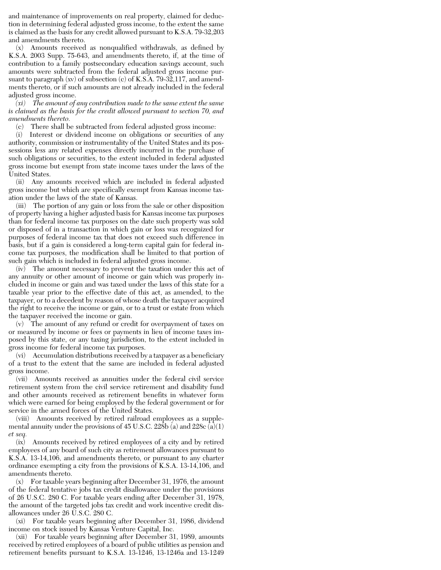and maintenance of improvements on real property, claimed for deduction in determining federal adjusted gross income, to the extent the same is claimed as the basis for any credit allowed pursuant to K.S.A. 79-32,203 and amendments thereto.

(x) Amounts received as nonqualified withdrawals, as defined by K.S.A. 2003 Supp. 75-643, and amendments thereto, if, at the time of contribution to a family postsecondary education savings account, such amounts were subtracted from the federal adjusted gross income pursuant to paragraph (xv) of subsection (c) of K.S.A. 79-32,117, and amendments thereto, or if such amounts are not already included in the federal adjusted gross income.

*(xi) The amount of any contribution made to the same extent the same is claimed as the basis for the credit allowed pursuant to section 70, and amendments thereto.*

(c) There shall be subtracted from federal adjusted gross income:

(i) Interest or dividend income on obligations or securities of any authority, commission or instrumentality of the United States and its possessions less any related expenses directly incurred in the purchase of such obligations or securities, to the extent included in federal adjusted gross income but exempt from state income taxes under the laws of the United States.

(ii) Any amounts received which are included in federal adjusted gross income but which are specifically exempt from Kansas income taxation under the laws of the state of Kansas.

(iii) The portion of any gain or loss from the sale or other disposition of property having a higher adjusted basis for Kansas income tax purposes than for federal income tax purposes on the date such property was sold or disposed of in a transaction in which gain or loss was recognized for purposes of federal income tax that does not exceed such difference in basis, but if a gain is considered a long-term capital gain for federal income tax purposes, the modification shall be limited to that portion of such gain which is included in federal adjusted gross income.

(iv) The amount necessary to prevent the taxation under this act of any annuity or other amount of income or gain which was properly included in income or gain and was taxed under the laws of this state for a taxable year prior to the effective date of this act, as amended, to the taxpayer, or to a decedent by reason of whose death the taxpayer acquired the right to receive the income or gain, or to a trust or estate from which the taxpayer received the income or gain.

(v) The amount of any refund or credit for overpayment of taxes on or measured by income or fees or payments in lieu of income taxes imposed by this state, or any taxing jurisdiction, to the extent included in gross income for federal income tax purposes.

(vi) Accumulation distributions received by a taxpayer as a beneficiary of a trust to the extent that the same are included in federal adjusted gross income.

(vii) Amounts received as annuities under the federal civil service retirement system from the civil service retirement and disability fund and other amounts received as retirement benefits in whatever form which were earned for being employed by the federal government or for service in the armed forces of the United States.

(viii) Amounts received by retired railroad employees as a supplemental annuity under the provisions of 45 U.S.C.  $22\bar{8}b$  (a) and  $228c$  (a)(1) *et seq.*

(ix) Amounts received by retired employees of a city and by retired employees of any board of such city as retirement allowances pursuant to K.S.A. 13-14,106, and amendments thereto, or pursuant to any charter ordinance exempting a city from the provisions of K.S.A. 13-14,106, and amendments thereto.

(x) For taxable years beginning after December 31, 1976, the amount of the federal tentative jobs tax credit disallowance under the provisions of 26 U.S.C. 280 C. For taxable years ending after December 31, 1978, the amount of the targeted jobs tax credit and work incentive credit disallowances under 26 U.S.C. 280 C.

(xi) For taxable years beginning after December 31, 1986, dividend income on stock issued by Kansas Venture Capital, Inc.

(xii) For taxable years beginning after December 31, 1989, amounts received by retired employees of a board of public utilities as pension and retirement benefits pursuant to K.S.A. 13-1246, 13-1246a and 13-1249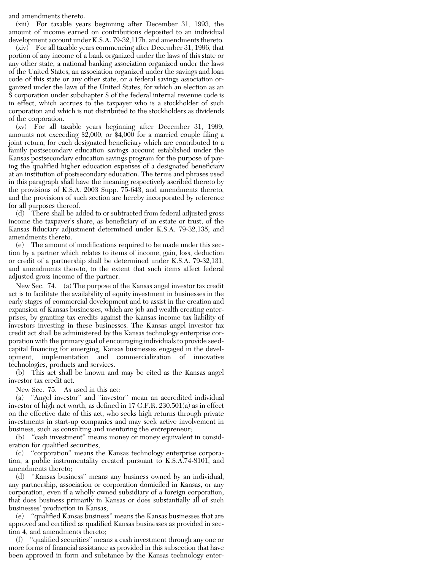and amendments thereto.

(xiii) For taxable years beginning after December 31, 1993, the amount of income earned on contributions deposited to an individual development account under K.S.A. 79-32,117h, and amendments thereto.

(xiv) For all taxable years commencing after December 31, 1996, that portion of any income of a bank organized under the laws of this state or any other state, a national banking association organized under the laws of the United States, an association organized under the savings and loan code of this state or any other state, or a federal savings association organized under the laws of the United States, for which an election as an S corporation under subchapter S of the federal internal revenue code is in effect, which accrues to the taxpayer who is a stockholder of such corporation and which is not distributed to the stockholders as dividends of the corporation.

(xv) For all taxable years beginning after December 31, 1999, amounts not exceeding \$2,000, or \$4,000 for a married couple filing a joint return, for each designated beneficiary which are contributed to a family postsecondary education savings account established under the Kansas postsecondary education savings program for the purpose of paying the qualified higher education expenses of a designated beneficiary at an institution of postsecondary education. The terms and phrases used in this paragraph shall have the meaning respectively ascribed thereto by the provisions of K.S.A. 2003 Supp. 75-643, and amendments thereto, and the provisions of such section are hereby incorporated by reference for all purposes thereof.

(d) There shall be added to or subtracted from federal adjusted gross income the taxpayer's share, as beneficiary of an estate or trust, of the Kansas fiduciary adjustment determined under K.S.A. 79-32,135, and amendments thereto.

(e) The amount of modifications required to be made under this section by a partner which relates to items of income, gain, loss, deduction or credit of a partnership shall be determined under K.S.A. 79-32,131, and amendments thereto, to the extent that such items affect federal adjusted gross income of the partner.

New Sec. 74. (a) The purpose of the Kansas angel investor tax credit act is to facilitate the availability of equity investment in businesses in the early stages of commercial development and to assist in the creation and expansion of Kansas businesses, which are job and wealth creating enterprises, by granting tax credits against the Kansas income tax liability of investors investing in these businesses. The Kansas angel investor tax credit act shall be administered by the Kansas technology enterprise corporation with the primary goal of encouraging individuals to provide seedcapital financing for emerging, Kansas businesses engaged in the development, implementation and commercialization of innovative technologies, products and services.

(b) This act shall be known and may be cited as the Kansas angel investor tax credit act.

New Sec. 75. As used in this act:

(a) ''Angel investor'' and ''investor'' mean an accredited individual investor of high net worth, as defined in 17 C.F.R. 230.501(a) as in effect on the effective date of this act, who seeks high returns through private investments in start-up companies and may seek active involvement in business, such as consulting and mentoring the entrepreneur;

(b) ''cash investment'' means money or money equivalent in consideration for qualified securities;

(c) ''corporation'' means the Kansas technology enterprise corporation, a public instrumentality created pursuant to K.S.A.74-8101, and amendments thereto;

"Kansas business" means any business owned by an individual, any partnership, association or corporation domiciled in Kansas, or any corporation, even if a wholly owned subsidiary of a foreign corporation, that does business primarily in Kansas or does substantially all of such businesses' production in Kansas;

(e) ''qualified Kansas business'' means the Kansas businesses that are approved and certified as qualified Kansas businesses as provided in section 4, and amendments thereto;

(f) ''qualified securities'' means a cash investment through any one or more forms of financial assistance as provided in this subsection that have been approved in form and substance by the Kansas technology enter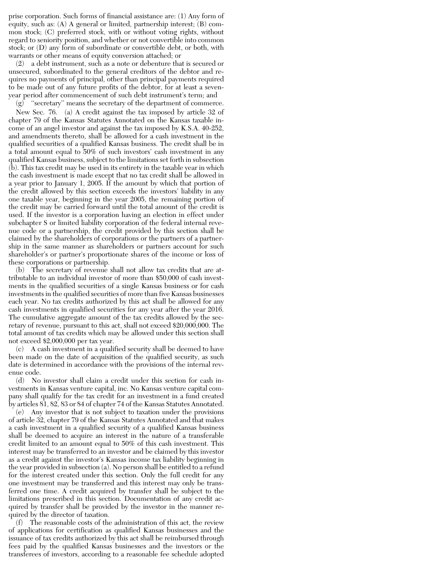prise corporation. Such forms of financial assistance are: (1) Any form of equity, such as: (A) A general or limited, partnership interest; (B) common stock; (C) preferred stock, with or without voting rights, without regard to seniority position, and whether or not convertible into common stock; or (D) any form of subordinate or convertible debt, or both, with warrants or other means of equity conversion attached; or

(2) a debt instrument, such as a note or debenture that is secured or unsecured, subordinated to the general creditors of the debtor and requires no payments of principal, other than principal payments required to be made out of any future profits of the debtor, for at least a sevenyear period after commencement of such debt instrument's term; and

(g) ''secretary'' means the secretary of the department of commerce. New Sec. 76. (a) A credit against the tax imposed by article 32 of chapter 79 of the Kansas Statutes Annotated on the Kansas taxable income of an angel investor and against the tax imposed by K.S.A. 40-252, and amendments thereto, shall be allowed for a cash investment in the qualified securities of a qualified Kansas business. The credit shall be in a total amount equal to 50% of such investors' cash investment in any qualified Kansas business, subject to the limitations set forth in subsection (b). This tax credit may be used in its entirety in the taxable year in which the cash investment is made except that no tax credit shall be allowed in a year prior to January 1, 2005. If the amount by which that portion of the credit allowed by this section exceeds the investors' liability in any one taxable year, beginning in the year 2005, the remaining portion of the credit may be carried forward until the total amount of the credit is used. If the investor is a corporation having an election in effect under subchapter S or limited liability corporation of the federal internal revenue code or a partnership, the credit provided by this section shall be claimed by the shareholders of corporations or the partners of a partnership in the same manner as shareholders or partners account for such shareholder's or partner's proportionate shares of the income or loss of these corporations or partnership.

(b) The secretary of revenue shall not allow tax credits that are attributable to an individual investor of more than \$50,000 of cash investments in the qualified securities of a single Kansas business or for cash investments in the qualified securities of more than five Kansas businesses each year. No tax credits authorized by this act shall be allowed for any cash investments in qualified securities for any year after the year 2016. The cumulative aggregate amount of the tax credits allowed by the secretary of revenue, pursuant to this act, shall not exceed \$20,000,000. The total amount of tax credits which may be allowed under this section shall not exceed \$2,000,000 per tax year.

(c) A cash investment in a qualified security shall be deemed to have been made on the date of acquisition of the qualified security, as such date is determined in accordance with the provisions of the internal revenue code.

(d) No investor shall claim a credit under this section for cash investments in Kansas venture capital, inc. No Kansas venture capital company shall qualify for the tax credit for an investment in a fund created by articles 81, 82, 83 or 84 of chapter 74 of the Kansas Statutes Annotated.

(e) Any investor that is not subject to taxation under the provisions of article 32, chapter 79 of the Kansas Statutes Annotated and that makes a cash investment in a qualified security of a qualified Kansas business shall be deemed to acquire an interest in the nature of a transferable credit limited to an amount equal to 50% of this cash investment. This interest may be transferred to an investor and be claimed by this investor as a credit against the investor's Kansas income tax liability beginning in the year provided in subsection (a). No person shall be entitled to a refund for the interest created under this section. Only the full credit for any one investment may be transferred and this interest may only be transferred one time. A credit acquired by transfer shall be subject to the limitations prescribed in this section. Documentation of any credit acquired by transfer shall be provided by the investor in the manner required by the director of taxation.

(f) The reasonable costs of the administration of this act, the review of applications for certification as qualified Kansas businesses and the issuance of tax credits authorized by this act shall be reimbursed through fees paid by the qualified Kansas businesses and the investors or the transferees of investors, according to a reasonable fee schedule adopted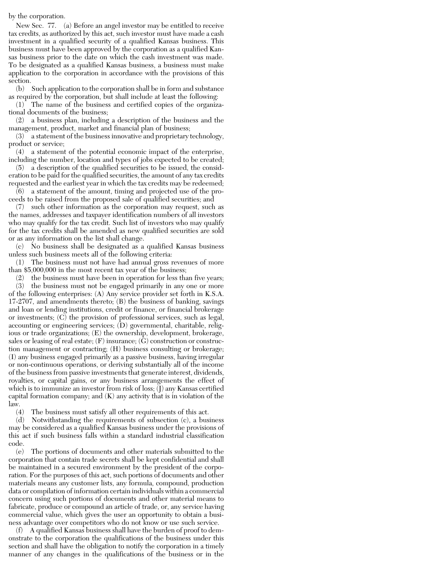## by the corporation.

New Sec. 77. (a) Before an angel investor may be entitled to receive tax credits, as authorized by this act, such investor must have made a cash investment in a qualified security of a qualified Kansas business. This business must have been approved by the corporation as a qualified Kansas business prior to the date on which the cash investment was made. To be designated as a qualified Kansas business, a business must make application to the corporation in accordance with the provisions of this section.

(b) Such application to the corporation shall be in form and substance as required by the corporation, but shall include at least the following:

(1) The name of the business and certified copies of the organizational documents of the business;

(2) a business plan, including a description of the business and the management, product, market and financial plan of business;

(3) a statement of the business innovative and proprietary technology, product or service;

(4) a statement of the potential economic impact of the enterprise, including the number, location and types of jobs expected to be created;

(5) a description of the qualified securities to be issued, the consideration to be paid for the qualified securities, the amount of any tax credits requested and the earliest year in which the tax credits may be redeemed;

(6) a statement of the amount, timing and projected use of the proceeds to be raised from the proposed sale of qualified securities; and

(7) such other information as the corporation may request, such as the names, addresses and taxpayer identification numbers of all investors who may qualify for the tax credit. Such list of investors who may qualify for the tax credits shall be amended as new qualified securities are sold or as any information on the list shall change.

(c) No business shall be designated as a qualified Kansas business unless such business meets all of the following criteria:

(1) The business must not have had annual gross revenues of more than \$5,000,000 in the most recent tax year of the business;

(2) the business must have been in operation for less than five years;

(3) the business must not be engaged primarily in any one or more of the following enterprises: (A) Any service provider set forth in K.S.A. 17-2707, and amendments thereto; (B) the business of banking, savings and loan or lending institutions, credit or finance, or financial brokerage or investments;  $(C)$  the provision of professional services, such as legal, accounting or engineering services; (D) governmental, charitable, religious or trade organizations; (E) the ownership, development, brokerage, sales or leasing of real estate;  $(F)$  insurance;  $(G)$  construction or construction management or contracting; (H) business consulting or brokerage; (I) any business engaged primarily as a passive business, having irregular or non-continuous operations, or deriving substantially all of the income of the business from passive investments that generate interest, dividends, royalties, or capital gains, or any business arrangements the effect of which is to immunize an investor from risk of loss; (J) any Kansas certified capital formation company; and  $(K)$  any activity that is in violation of the law.

(4) The business must satisfy all other requirements of this act.

(d) Notwithstanding the requirements of subsection (c), a business may be considered as a qualified Kansas business under the provisions of this act if such business falls within a standard industrial classification code.

(e) The portions of documents and other materials submitted to the corporation that contain trade secrets shall be kept confidential and shall be maintained in a secured environment by the president of the corporation. For the purposes of this act, such portions of documents and other materials means any customer lists, any formula, compound, production data or compilation of information certain individuals within a commercial concern using such portions of documents and other material means to fabricate, produce or compound an article of trade, or, any service having commercial value, which gives the user an opportunity to obtain a business advantage over competitors who do not know or use such service.

(f) A qualified Kansas business shall have the burden of proof to demonstrate to the corporation the qualifications of the business under this section and shall have the obligation to notify the corporation in a timely manner of any changes in the qualifications of the business or in the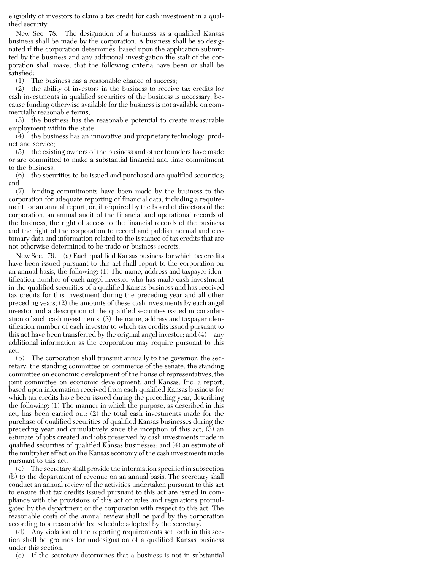eligibility of investors to claim a tax credit for cash investment in a qualified security.

New Sec. 78. The designation of a business as a qualified Kansas business shall be made by the corporation. A business shall be so designated if the corporation determines, based upon the application submitted by the business and any additional investigation the staff of the corporation shall make, that the following criteria have been or shall be satisfied:

(1) The business has a reasonable chance of success;

(2) the ability of investors in the business to receive tax credits for cash investments in qualified securities of the business is necessary, because funding otherwise available for the business is not available on commercially reasonable terms;

(3) the business has the reasonable potential to create measurable employment within the state;

 $(4)$  the business has an innovative and proprietary technology, product and service;

(5) the existing owners of the business and other founders have made or are committed to make a substantial financial and time commitment to the business;

(6) the securities to be issued and purchased are qualified securities; and

(7) binding commitments have been made by the business to the corporation for adequate reporting of financial data, including a requirement for an annual report, or, if required by the board of directors of the corporation, an annual audit of the financial and operational records of the business, the right of access to the financial records of the business and the right of the corporation to record and publish normal and customary data and information related to the issuance of tax credits that are not otherwise determined to be trade or business secrets.

New Sec. 79. (a) Each qualified Kansas business for which tax credits have been issued pursuant to this act shall report to the corporation on an annual basis, the following: (1) The name, address and taxpayer identification number of each angel investor who has made cash investment in the qualified securities of a qualified Kansas business and has received tax credits for this investment during the preceding year and all other preceding years; (2) the amounts of these cash investments by each angel investor and a description of the qualified securities issued in consideration of such cash investments; (3) the name, address and taxpayer identification number of each investor to which tax credits issued pursuant to this act have been transferred by the original angel investor; and (4) any additional information as the corporation may require pursuant to this act.

(b) The corporation shall transmit annually to the governor, the secretary, the standing committee on commerce of the senate, the standing committee on economic development of the house of representatives, the joint committee on economic development, and Kansas, Inc. a report, based upon information received from each qualified Kansas business for which tax credits have been issued during the preceding year, describing the following: (1) The manner in which the purpose, as described in this act, has been carried out; (2) the total cash investments made for the purchase of qualified securities of qualified Kansas businesses during the preceding year and cumulatively since the inception of this act; (3) an estimate of jobs created and jobs preserved by cash investments made in qualified securities of qualified Kansas businesses; and (4) an estimate of the multiplier effect on the Kansas economy of the cash investments made pursuant to this act.

(c) The secretary shall provide the information specified in subsection (b) to the department of revenue on an annual basis. The secretary shall conduct an annual review of the activities undertaken pursuant to this act to ensure that tax credits issued pursuant to this act are issued in compliance with the provisions of this act or rules and regulations promulgated by the department or the corporation with respect to this act. The reasonable costs of the annual review shall be paid by the corporation according to a reasonable fee schedule adopted by the secretary.

(d) Any violation of the reporting requirements set forth in this section shall be grounds for undesignation of a qualified Kansas business under this section.

(e) If the secretary determines that a business is not in substantial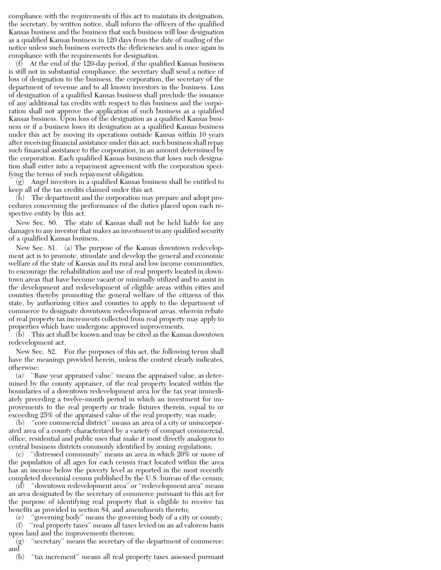compliance with the requirements of this act to maintain its designation, the secretary, by written notice, shall inform the officers of the qualified Kansas business and the business that such business will lose designation as a qualified Kansas business in 120 days from the date of mailing of the notice unless such business corrects the deficiencies and is once again in compliance with the requirements for designation.

 $(f)$  At the end of the 120-day period, if the qualified Kansas business is still not in substantial compliance, the secretary shall send a notice of loss of designation to the business, the corporation, the secretary of the department of revenue and to all known investors in the business. Loss of designation of a qualified Kansas business shall preclude the issuance of any additional tax credits with respect to this business and the corporation shall not approve the application of such business as a qualified Kansas business. Upon loss of the designation as a qualified Kansas business or if a business loses its designation as a qualified Kansas business under this act by moving its operations outside Kansas within 10 years after receiving financial assistance under this act, such business shall repay such financial assistance to the corporation, in an amount determined by the corporation. Each qualified Kansas business that loses such designation shall enter into a repayment agreement with the corporation specifying the terms of such repayment obligation.

(g) Angel investors in a qualified Kansas business shall be entitled to keep all of the tax credits claimed under this act.

(h) The department and the corporation may prepare and adopt procedures concerning the performance of the duties placed upon each respective entity by this act.

New Sec. 80. The state of Kansas shall not be held liable for any damages to any investor that makes an investment in any qualified security of a qualified Kansas business.

New Sec. 81. (a) The purpose of the Kansas downtown redevelopment act is to promote, stimulate and develop the general and economic welfare of the state of Kansas and its rural and low income communities, to encourage the rehabilitation and use of real property located in downtown areas that have become vacant or minimally utilized and to assist in the development and redevelopment of eligible areas within cities and counties thereby promoting the general welfare of the citizens of this state, by authorizing cities and counties to apply to the department of commerce to designate downtown redevelopment areas, wherein rebate of real property tax increments collected from real property may apply to properties which have undergone approved improvements.

(b) This act shall be known and may be cited as the Kansas downtown redevelopment act.

New Sec. 82. For the purposes of this act, the following terms shall have the meanings provided herein, unless the context clearly indicates, otherwise:

(a) ''Base year appraised value'' means the appraised value, as determined by the county appraiser, of the real property located within the boundaries of a downtown redevelopment area for the tax year immediately preceding a twelve-month period in which an investment for improvements to the real property or trade fixtures therein, equal to or exceeding 25% of the appraised value of the real property, was made;

"core commercial district" means an area of a city or unincorporated area of a county characterized by a variety of compact commercial, office, residential and public uses that make it most directly analogous to central business districts commonly identified by zoning regulations;

(c) ''distressed community'' means an area in which 20% or more of the population of all ages for each census tract located within the area has an income below the poverty level as reported in the most recently completed decennial census published by the U.S. bureau of the census;

(d) ''downtown redevelopment area'' or ''redevelopment area'' means an area designated by the secretary of commerce pursuant to this act for the purpose of identifying real property that is eligible to receive tax benefits as provided in section 84, and amendments thereto;

(e) ''governing body'' means the governing body of a city or county; (f) ''real property taxes'' means all taxes levied on an ad valorem basis upon land and the improvements thereon;

"secretary" means the secretary of the department of commerce; and

(h) ''tax increment'' means all real property taxes assessed pursuant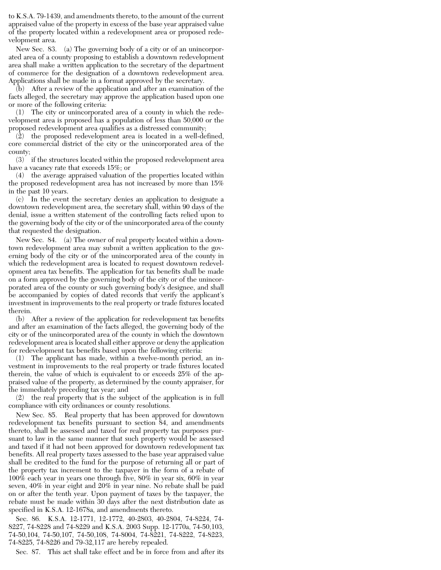to K.S.A. 79-1439, and amendments thereto, to the amount of the current appraised value of the property in excess of the base year appraised value of the property located within a redevelopment area or proposed redevelopment area.

New Sec. 83. (a) The governing body of a city or of an unincorporated area of a county proposing to establish a downtown redevelopment area shall make a written application to the secretary of the department of commerce for the designation of a downtown redevelopment area. Applications shall be made in a format approved by the secretary.

(b) After a review of the application and after an examination of the facts alleged, the secretary may approve the application based upon one or more of the following criteria:

(1) The city or unincorporated area of a county in which the redevelopment area is proposed has a population of less than 50,000 or the proposed redevelopment area qualifies as a distressed community;

(2) the proposed redevelopment area is located in a well-defined, core commercial district of the city or the unincorporated area of the county;

(3) if the structures located within the proposed redevelopment area have a vacancy rate that exceeds 15%; or

(4) the average appraised valuation of the properties located within the proposed redevelopment area has not increased by more than 15% in the past 10 years.

(c) In the event the secretary denies an application to designate a downtown redevelopment area, the secretary shall, within 90 days of the denial, issue a written statement of the controlling facts relied upon to the governing body of the city or of the unincorporated area of the county that requested the designation.

New Sec. 84. (a) The owner of real property located within a downtown redevelopment area may submit a written application to the governing body of the city or of the unincorporated area of the county in which the redevelopment area is located to request downtown redevelopment area tax benefits. The application for tax benefits shall be made on a form approved by the governing body of the city or of the unincorporated area of the county or such governing body's designee, and shall be accompanied by copies of dated records that verify the applicant's investment in improvements to the real property or trade fixtures located therein.

(b) After a review of the application for redevelopment tax benefits and after an examination of the facts alleged, the governing body of the city or of the unincorporated area of the county in which the downtown redevelopment area is located shall either approve or deny the application for redevelopment tax benefits based upon the following criteria:

(1) The applicant has made, within a twelve-month period, an investment in improvements to the real property or trade fixtures located therein, the value of which is equivalent to or exceeds 25% of the appraised value of the property, as determined by the county appraiser, for the immediately preceding tax year; and

(2) the real property that is the subject of the application is in full compliance with city ordinances or county resolutions.

New Sec. 85. Real property that has been approved for downtown redevelopment tax benefits pursuant to section 84, and amendments thereto, shall be assessed and taxed for real property tax purposes pursuant to law in the same manner that such property would be assessed and taxed if it had not been approved for downtown redevelopment tax benefits. All real property taxes assessed to the base year appraised value shall be credited to the fund for the purpose of returning all or part of the property tax increment to the taxpayer in the form of a rebate of 100% each year in years one through five, 80% in year six, 60% in year seven, 40% in year eight and 20% in year nine. No rebate shall be paid on or after the tenth year. Upon payment of taxes by the taxpayer, the rebate must be made within 30 days after the next distribution date as specified in K.S.A. 12-1678a, and amendments thereto.

Sec. 86. K.S.A. 12-1771, 12-1772, 40-2803, 40-2804, 74-8224, 74- 8227, 74-8228 and 74-8229 and K.S.A. 2003 Supp. 12-1770a, 74-50,103, 74-50,104, 74-50,107, 74-50,108, 74-8004, 74-8221, 74-8222, 74-8223, 74-8225, 74-8226 and 79-32,117 are hereby repealed.

Sec. 87. This act shall take effect and be in force from and after its